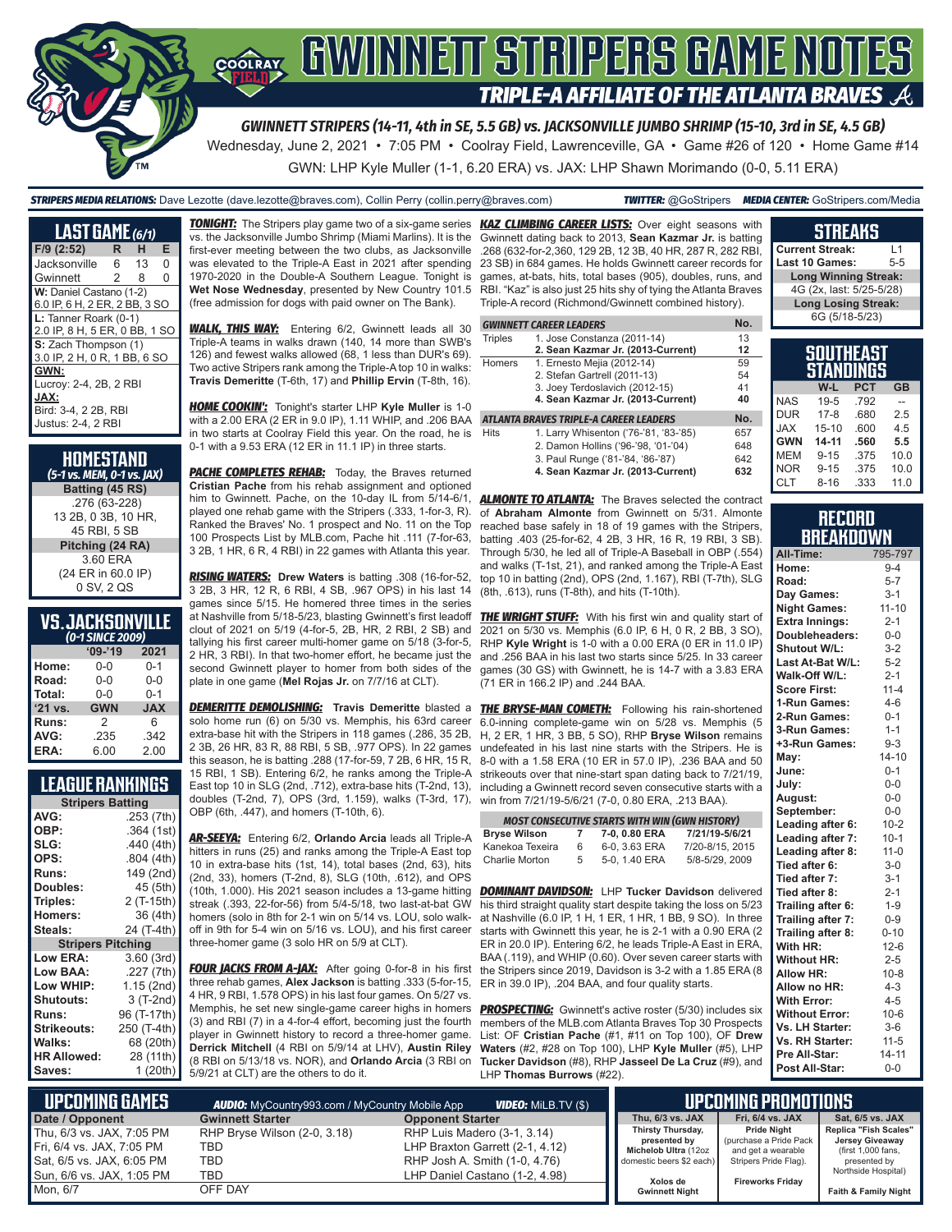

## GWINNEIT STRIPERS GAME NOTES COOLRAY **TRIPLE-A AFFILIATE OF THE ATLANTA BRAVES**

*GWINNETT STRIPERS (14-11, 4th in SE, 5.5 GB) vs. JACKSONVILLE JUMBO SHRIMP (15-10, 3rd in SE, 4.5 GB)* Wednesday, June 2, 2021 • 7:05 PM • Coolray Field, Lawrenceville, GA • Game #26 of 120 • Home Game #14

GWN: LHP Kyle Muller (1-1, 6.20 ERA) vs. JAX: LHP Shawn Morimando (0-0, 5.11 ERA)

*STRIPERS MEDIA RELATIONS:* Dave Lezotte (dave.lezotte@braves.com), Collin Perry (collin.perry@braves.com) *TWITTER:* @GoStripers *MEDIA CENTER:* GoStripers.com/Media

| <b>LAST GAME</b> (6/1)        |                |    |   |
|-------------------------------|----------------|----|---|
| $F/9$ (2:52)                  | R.             | н  | Е |
| Jacksonville                  | 6              | 13 | 0 |
| Gwinnett                      | $\mathfrak{D}$ | 8  | 0 |
| W: Daniel Castano (1-2)       |                |    |   |
| 6.0 IP, 6 H, 2 ER, 2 BB, 3 SO |                |    |   |
| L: Tanner Roark (0-1)         |                |    |   |
| 2.0 IP, 8 H, 5 ER, 0 BB, 1 SO |                |    |   |
| S: Zach Thompson (1)          |                |    |   |
| 3.0 IP, 2 H, 0 R, 1 BB, 6 SO  |                |    |   |
| GWN:                          |                |    |   |
| Lucroy: 2-4, 2B, 2 RBI        |                |    |   |
| JAX:                          |                |    |   |
| Bird: 3-4, 2 2B, RBI          |                |    |   |
| <b>Justus: 2-4, 2 RBI</b>     |                |    |   |

| HOMESTAND<br>(5-1 vs. MEM, 0-1 vs. JAX) |
|-----------------------------------------|
| Batting (45 RS)                         |
| .276 (63-228)                           |
| 13 2B, 0 3B, 10 HR.                     |
| 45 RBI, 5 SB                            |
| Pitching (24 RA)                        |
| 3.60 ERA                                |
| (24 ER in 60.0 IP)                      |
| 0 SV, 2 QS                              |

## **VS. JACKSONVILLE**

| (0-1 SINCE 2009) |            |            |  |  |  |
|------------------|------------|------------|--|--|--|
|                  | $'09-'19$  | 2021       |  |  |  |
| Home:            | $0 - 0$    | $0 - 1$    |  |  |  |
| Road:            | $0 - 0$    | $0 - 0$    |  |  |  |
| Total:           | $0 - 0$    | $0 - 1$    |  |  |  |
| '21 vs.          | <b>GWN</b> | <b>JAX</b> |  |  |  |
| Runs:            | 2          | 6          |  |  |  |
| AVG:             | .235       | .342       |  |  |  |
| ERA:             | 6.00       | 2.00       |  |  |  |

## **LEAGUE RANKINGS**

| <b>Stripers Batting</b>  |             |  |  |  |  |
|--------------------------|-------------|--|--|--|--|
| AVG:                     | .253 (7th)  |  |  |  |  |
| OBP:                     | .364 (1st)  |  |  |  |  |
| SLG:                     | .440 (4th)  |  |  |  |  |
| OPS:                     | .804 (4th)  |  |  |  |  |
| <b>Runs:</b>             | 149 (2nd)   |  |  |  |  |
| <b>Doubles:</b>          | 45 (5th)    |  |  |  |  |
| Triples:                 | 2 (T-15th)  |  |  |  |  |
| <b>Homers:</b>           | 36 (4th)    |  |  |  |  |
| Steals:                  | 24 (T-4th)  |  |  |  |  |
| <b>Stripers Pitching</b> |             |  |  |  |  |
| <b>Low ERA:</b>          | 3.60(3rd)   |  |  |  |  |
| Low BAA:                 | .227 (7th)  |  |  |  |  |
| Low WHIP:                | 1.15 (2nd)  |  |  |  |  |
| Shutouts:                | 3 (T-2nd)   |  |  |  |  |
| <b>Runs:</b>             | 96 (T-17th) |  |  |  |  |
| <b>Strikeouts:</b>       | 250 (T-4th) |  |  |  |  |
| Walks:                   | 68 (20th)   |  |  |  |  |
| <b>HR Allowed:</b>       | 28 (11th)   |  |  |  |  |
| Saves:                   | 1 (20th)    |  |  |  |  |

*TONIGHT:* The Stripers play game two of a six-game series *KAZ CLIMBING CAREER LISTS:* Over eight seasons with vs. the Jacksonville Jumbo Shrimp (Miami Marlins). It is the first-ever meeting between the two clubs, as Jacksonville was elevated to the Triple-A East in 2021 after spending 1970-2020 in the Double-A Southern League. Tonight is **Wet Nose Wednesday**, presented by New Country 101.5 (free admission for dogs with paid owner on The Bank).

*WALK, THIS WAY:* Entering 6/2, Gwinnett leads all 30 Triple-A teams in walks drawn (140, 14 more than SWB's 126) and fewest walks allowed (68, 1 less than DUR's 69). Two active Stripers rank among the Triple-A top 10 in walks: **Travis Demeritte** (T-6th, 17) and **Phillip Ervin** (T-8th, 16).

*HOME COOKIN':* Tonight's starter LHP **Kyle Muller** is 1-0 with a 2.00 ERA (2 ER in 9.0 IP), 1.11 WHIP, and .206 BAA in two starts at Coolray Field this year. On the road, he is 0-1 with a 9.53 ERA (12 ER in 11.1 IP) in three starts.

**PACHE COMPLETES REHAB:** Today, the Braves returned **Cristian Pache** from his rehab assignment and optioned him to Gwinnett. Pache, on the 10-day IL from 5/14-6/1, played one rehab game with the Stripers (.333, 1-for-3, R). Ranked the Braves' No. 1 prospect and No. 11 on the Top 100 Prospects List by MLB.com, Pache hit .111 (7-for-63, 3 2B, 1 HR, 6 R, 4 RBI) in 22 games with Atlanta this year.

*RISING WATERS:* **Drew Waters** is batting .308 (16-for-52, 3 2B, 3 HR, 12 R, 6 RBI, 4 SB, .967 OPS) in his last 14 games since 5/15. He homered three times in the series at Nashville from 5/18-5/23, blasting Gwinnett's first leadoff clout of 2021 on 5/19 (4-for-5, 2B, HR, 2 RBI, 2 SB) and tallying his first career multi-homer game on 5/18 (3-for-5, 2 HR, 3 RBI). In that two-homer effort, he became just the second Gwinnett player to homer from both sides of the plate in one game (**Mel Rojas Jr.** on 7/7/16 at CLT).

*DEMERITTE DEMOLISHING:* **Travis Demeritte** blasted a solo home run (6) on 5/30 vs. Memphis, his 63rd career extra-base hit with the Stripers in 118 games (.286, 35 2B, 2 3B, 26 HR, 83 R, 88 RBI, 5 SB, .977 OPS). In 22 games this season, he is batting .288 (17-for-59, 7 2B, 6 HR, 15 R, 15 RBI, 1 SB). Entering 6/2, he ranks among the Triple-A East top 10 in SLG (2nd, .712), extra-base hits (T-2nd, 13), doubles (T-2nd, 7), OPS (3rd, 1.159), walks (T-3rd, 17), OBP (6th, .447), and homers (T-10th, 6).

*AR-SEEYA:* Entering 6/2, **Orlando Arcia** leads all Triple-A hitters in runs (25) and ranks among the Triple-A East top 10 in extra-base hits (1st, 14), total bases (2nd, 63), hits (2nd, 33), homers (T-2nd, 8), SLG (10th, .612), and OPS (10th, 1.000). His 2021 season includes a 13-game hitting streak (.393, 22-for-56) from 5/4-5/18, two last-at-bat GW homers (solo in 8th for 2-1 win on 5/14 vs. LOU, solo walk-at Nashville (6.0 IP, 1 H, 1 ER, 1 HR, 1 BB, 9 SO). In three off in 9th for 5-4 win on 5/16 vs. LOU), and his first career three-homer game (3 solo HR on 5/9 at CLT).

*FOUR JACKS FROM A-JAX:* After going 0-for-8 in his first three rehab games, **Alex Jackson** is batting .333 (5-for-15, ER in 39.0 IP), .204 BAA, and four quality starts. 4 HR, 9 RBI, 1.578 OPS) in his last four games. On 5/27 vs. Memphis, he set new single-game career highs in homers (3) and RBI (7) in a 4-for-4 effort, becoming just the fourth player in Gwinnett history to record a three-homer game. **Derrick Mitchell** (4 RBI on 5/9/14 at LHV), **Austin Riley** (8 RBI on 5/13/18 vs. NOR), and **Orlando Arcia** (3 RBI on **Tucker Davidson** (#8), RHP **Jasseel De La Cruz** (#9), and 5/9/21 at CLT) are the others to do it.

Gwinnett dating back to 2013, **Sean Kazmar Jr.** is batting .268 (632-for-2,360, 129 2B, 12 3B, 40 HR, 287 R, 282 RBI, 23 SB) in 684 games. He holds Gwinnett career records for games, at-bats, hits, total bases (905), doubles, runs, and RBI. "Kaz" is also just 25 hits shy of tying the Atlanta Braves Triple-A record (Richmond/Gwinnett combined history).

|               | <b>GWINNETT CAREER LEADERS</b>         | No. |
|---------------|----------------------------------------|-----|
| Triples       | 1. Jose Constanza (2011-14)            | 13  |
|               | 2. Sean Kazmar Jr. (2013-Current)      | 12  |
| <b>Homers</b> | 1. Ernesto Mejia (2012-14)             | 59  |
|               | 2. Stefan Gartrell (2011-13)           | 54  |
|               | 3. Joey Terdoslavich (2012-15)         | 41  |
|               | 4. Sean Kazmar Jr. (2013-Current)      | 40  |
|               | ATLANTA BRAVES TRIPLE-A CAREER LEADERS | No. |
| <b>Hits</b>   | 1. Larry Whisenton ('76-'81, '83-'85)  | 657 |
|               | 2. Damon Hollins ('96-'98, '01-'04)    | 648 |
|               | 3. Paul Runge ('81-'84, '86-'87)       | 642 |
|               | 4. Sean Kazmar Jr. (2013-Current)      | 632 |

**ALMONTE TO ATLANTA:** The Braves selected the contract of **Abraham Almonte** from Gwinnett on 5/31. Almonte reached base safely in 18 of 19 games with the Stripers, batting .403 (25-for-62, 4 2B, 3 HR, 16 R, 19 RBI, 3 SB). Through 5/30, he led all of Triple-A Baseball in OBP (.554) and walks (T-1st, 21), and ranked among the Triple-A East top 10 in batting (2nd), OPS (2nd, 1.167), RBI (T-7th), SLG (8th, .613), runs (T-8th), and hits (T-10th).

**THE WRIGHT STUFF:** With his first win and quality start of 2021 on 5/30 vs. Memphis (6.0 IP, 6 H, 0 R, 2 BB, 3 SO), RHP **Kyle Wright** is 1-0 with a 0.00 ERA (0 ER in 11.0 IP) and .256 BAA in his last two starts since 5/25. In 33 career games (30 GS) with Gwinnett, he is 14-7 with a 3.83 ERA (71 ER in 166.2 IP) and .244 BAA.

**THE BRYSE-MAN COMETH:** Following his rain-shortened 6.0-inning complete-game win on 5/28 vs. Memphis (5 H, 2 ER, 1 HR, 3 BB, 5 SO), RHP **Bryse Wilson** remains undefeated in his last nine starts with the Stripers. He is 8-0 with a 1.58 ERA (10 ER in 57.0 IP), .236 BAA and 50 strikeouts over that nine-start span dating back to 7/21/19, including a Gwinnett record seven consecutive starts with a win from 7/21/19-5/6/21 (7-0, 0.80 ERA, .213 BAA).

| <b>MOST CONSECUTIVE STARTS WITH WIN (GWN HISTORY)</b>       |    |               |                 |  |  |  |
|-------------------------------------------------------------|----|---------------|-----------------|--|--|--|
| 7/21/19-5/6/21<br><b>Bryse Wilson</b><br>7-0, 0.80 ERA<br>7 |    |               |                 |  |  |  |
| Kanekoa Texeira                                             | 6  | 6-0, 3.63 ERA | 7/20-8/15, 2015 |  |  |  |
| Charlie Morton                                              | 5. | 5-0, 1.40 ERA | 5/8-5/29, 2009  |  |  |  |

*DOMINANT DAVIDSON:* LHP **Tucker Davidson** delivered his third straight quality start despite taking the loss on 5/23 starts with Gwinnett this year, he is 2-1 with a 0.90 ERA (2 ER in 20.0 IP). Entering 6/2, he leads Triple-A East in ERA, BAA (.119), and WHIP (0.60). Over seven career starts with the Stripers since 2019, Davidson is 3-2 with a 1.85 ERA (8

**PROSPECTING:** Gwinnett's active roster (5/30) includes six members of the MLB.com Atlanta Braves Top 30 Prospects List: OF **Cristian Pache** (#1, #11 on Top 100), OF **Drew Waters** (#2, #28 on Top 100), LHP **Kyle Muller** (#5), LHP LHP **Thomas Burrows** (#22).

| <b>Current Streak:</b>      | l 1 |
|-----------------------------|-----|
| Last 10 Games:              | 5-5 |
| <b>Long Winning Streak:</b> |     |
| 4G (2x, last: 5/25-5/28)    |     |
| <b>Long Losing Streak:</b>  |     |
| 6G (5/18-5/23)              |     |
|                             |     |
|                             |     |

**STREAKS**

|            | awwat<br>STANDINGS |            |           |
|------------|--------------------|------------|-----------|
|            | W-L                | <b>PCT</b> | <b>GB</b> |
| <b>NAS</b> | $19 - 5$           | .792       |           |
| <b>DUR</b> | $17 - 8$           | .680       | 2.5       |
| <b>XAL</b> | $15 - 10$          | .600       | 4.5       |
| <b>GWN</b> | 14-11              | .560       | 5.5       |
| <b>MEM</b> | $9 - 15$           | .375       | 10.0      |
| <b>NOR</b> | $9 - 15$           | .375       | 10.0      |
| <b>CLT</b> | $8 - 16$           | .333       | 11.0      |

#### **RECORD RRFAKNOWN**

| All-Time:             | 795-797   |
|-----------------------|-----------|
| Home:                 | $9 - 4$   |
| Road:                 | $5 - 7$   |
| Day Games:            | $3 - 1$   |
| <b>Night Games:</b>   | $11 - 10$ |
| <b>Extra Innings:</b> | $2 - 1$   |
| Doubleheaders:        | $0-0$     |
| <b>Shutout W/L:</b>   | $3 - 2$   |
| Last At-Bat W/L:      | $5 - 2$   |
| Walk-Off W/L:         | $2 - 1$   |
| <b>Score First:</b>   | $11 - 4$  |
| 1-Run Games:          | $4 - 6$   |
| 2-Run Games:          | $0 - 1$   |
| 3-Run Games:          | $1 - 1$   |
| +3-Run Games:         | $9 - 3$   |
| May:                  | $14 - 10$ |
| June:                 | $0 - 1$   |
| July:                 | $0-0$     |
| August:               | $0-0$     |
| September:            | $0-0$     |
| Leading after 6:      | $10 - 2$  |
| Leading after 7:      | $10-1$    |
| Leading after 8:      | $11 - 0$  |
| Tied after 6:         | $3-0$     |
| Tied after 7:         | $3 - 1$   |
| Tied after 8:         | $2 - 1$   |
| Trailing after 6:     | $1 - 9$   |
| Trailing after 7:     | $0 - 9$   |
| Trailing after 8:     | $0 - 10$  |
| With HR:              | $12-6$    |
| <b>Without HR:</b>    | $2 - 5$   |
| Allow HR:             | $10 - 8$  |
| Allow no HR:          | $4 - 3$   |
| <b>With Error:</b>    | $4 - 5$   |
| <b>Without Error:</b> | $10-6$    |
| Vs. LH Starter:       | $3-6$     |
| Vs. RH Starter:       | $11 - 5$  |
| Pre All-Star:         | $14 - 11$ |
| Post All-Star:        | $0 - 0$   |

| L UPCOMING GAMES I<br><b>VIDEO:</b> MiLB.TV (\$)<br><b>AUDIO:</b> MyCountry993.com / MyCountry Mobile App |                              |                                 | LIPCOMING PROMOTIONS              |                                              |                                          |  |
|-----------------------------------------------------------------------------------------------------------|------------------------------|---------------------------------|-----------------------------------|----------------------------------------------|------------------------------------------|--|
| Date / Opponent                                                                                           | <b>Gwinnett Starter</b>      | <b>Opponent Starter</b>         | Thu, 6/3 vs. JAX                  | Fri, 6/4 vs. JAX                             | Sat. 6/5 vs. JAX                         |  |
| Thu, 6/3 vs. JAX, 7:05 PM                                                                                 | RHP Bryse Wilson (2-0, 3.18) | RHP Luis Madero (3-1, 3.14)     | Thirsty Thursday,<br>presented by | <b>Pride Night</b><br>(purchase a Pride Pack | Replica "Fish Scales"<br>Jersey Giveaway |  |
| Fri, 6/4 vs. JAX, 7:05 PM                                                                                 | TBD                          | LHP Braxton Garrett (2-1, 4.12) | Michelob Ultra (12oz              | and get a wearable                           | (first 1,000 fans,                       |  |
| Sat, 6/5 vs. JAX, 6:05 PM                                                                                 | TBD                          | RHP Josh A. Smith (1-0, 4.76)   | domestic beers \$2 each)          | Stripers Pride Flag).                        | presented by                             |  |
| Sun, 6/6 vs. JAX, 1:05 PM                                                                                 | TBD                          | LHP Daniel Castano (1-2, 4.98)  | Xolos de                          | <b>Fireworks Friday</b>                      | Northside Hospital)                      |  |
| Mon. 6/7                                                                                                  | OFF DAY                      |                                 | <b>Gwinnett Night</b>             |                                              | Faith & Family Night                     |  |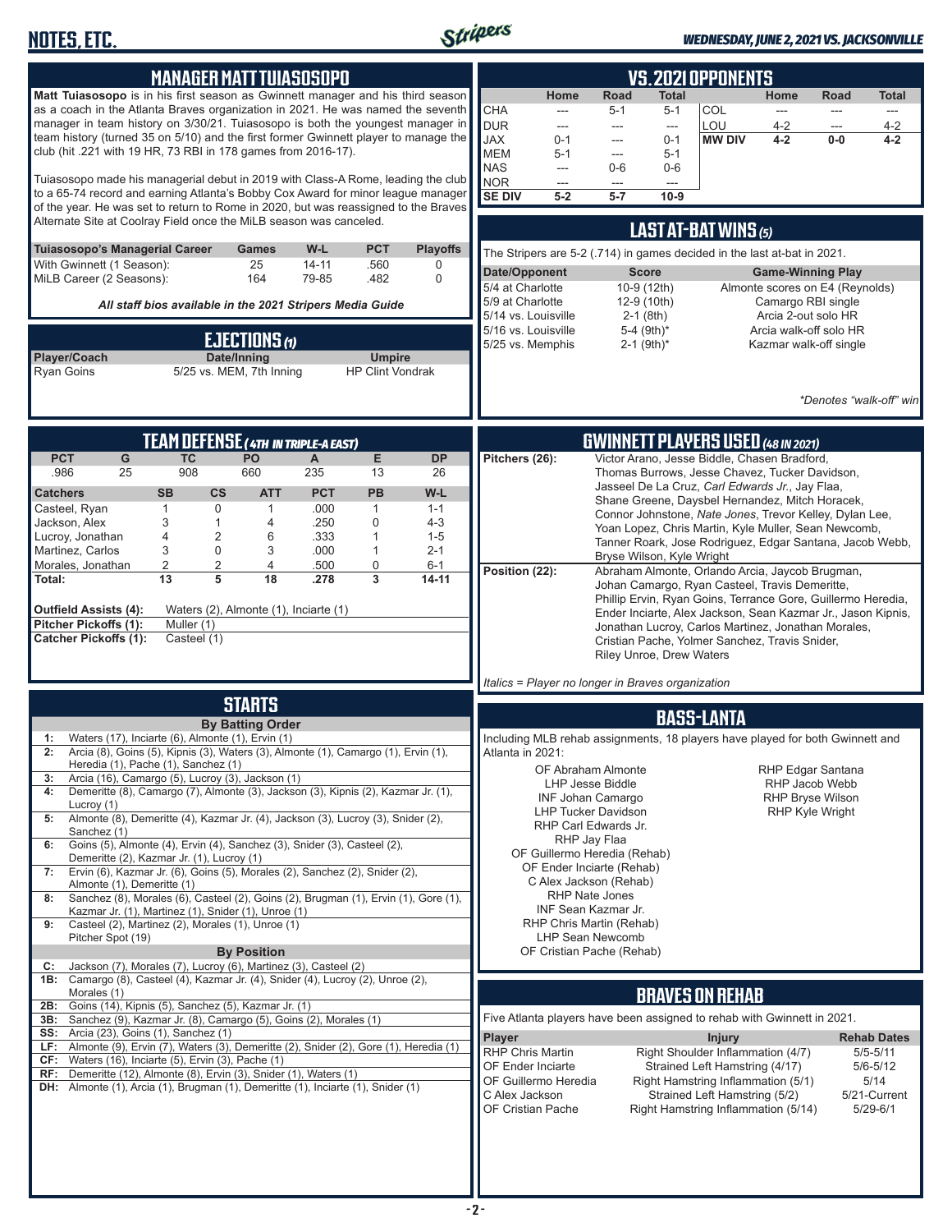

#### *WEDNESDAY, JUNE 2, 2021 VS. JACKSONVILLE*

| <b>MANAGER MATT TUIASOSOPO</b><br>Matt Tuiasosopo is in his first season as Gwinnett manager and his third season<br>as a coach in the Atlanta Braves organization in 2021. He was named the seventh<br>manager in team history on 3/30/21. Tuiasosopo is both the youngest manager in<br>team history (turned 35 on 5/10) and the first former Gwinnett player to manage the<br>club (hit .221 with 19 HR, 73 RBI in 178 games from 2016-17).<br>Tuiasosopo made his managerial debut in 2019 with Class-A Rome, leading the club<br>to a 65-74 record and earning Atlanta's Bobby Cox Award for minor league manager<br>of the year. He was set to return to Rome in 2020, but was reassigned to the Braves<br>Alternate Site at Coolray Field once the MiLB season was canceled.<br><b>PCT</b><br><b>Playoffs</b><br><b>Tuiasosopo's Managerial Career</b><br>W-L<br>Games<br>With Gwinnett (1 Season):<br>25<br>$14 - 11$<br>.560<br>0<br>MiLB Career (2 Seasons):<br>164<br>79-85<br>.482<br>$\mathbf 0$<br>All staff bios available in the 2021 Stripers Media Guide<br>EJECTIONS (1)<br>Player/Coach<br>Date/Inning<br><b>Umpire</b><br>5/25 vs. MEM, 7th Inning<br><b>HP Clint Vondrak</b><br><b>Ryan Goins</b>                                                                                                                                                                                                                                                                                                                                                                                                                                                                               | VS. 2021 OPPONENTS<br>Home<br>Road<br><b>Total</b><br>Home<br><b>Road</b><br><b>Total</b><br><b>CHA</b><br>COL<br>$5 - 1$<br>$5-1$<br>---<br>---<br>---<br>---<br><b>DUR</b><br>LOU<br>$4 - 2$<br>$4 - 2$<br>$\frac{1}{2}$<br>---<br>$\overline{a}$<br>$---$<br><b>JAX</b><br><b>MW DIV</b><br>$4 - 2$<br>$0-0$<br>$0 - 1$<br>$4 - 2$<br>$0 - 1$<br>---<br><b>MEM</b><br>$5 - 1$<br>$5 - 1$<br>---<br><b>NAS</b><br>$0-6$<br>$0-6$<br>$\overline{\phantom{a}}$<br>NOR<br>$\hspace{0.05cm} \ldots$<br>---<br>$\qquad \qquad -\qquad$<br><b>SE DIV</b><br>$5 - 7$<br>$5-2$<br>$10-9$<br>LAST AT-BAT WINS (5)<br>The Stripers are 5-2 (.714) in games decided in the last at-bat in 2021.<br>Date/Opponent<br><b>Score</b><br><b>Game-Winning Play</b><br>5/4 at Charlotte<br>10-9 (12th)<br>Almonte scores on E4 (Reynolds)<br>5/9 at Charlotte<br>12-9 (10th)<br>Camargo RBI single<br>5/14 vs. Louisville<br>$2-1$ (8th)<br>Arcia 2-out solo HR<br>5/16 vs. Louisville<br>5-4 (9th)*<br>Arcia walk-off solo HR<br>5/25 vs. Memphis<br>$2-1$ (9th) <sup>*</sup><br>Kazmar walk-off single<br>*Denotes "walk-off" win |  |  |  |
|-------------------------------------------------------------------------------------------------------------------------------------------------------------------------------------------------------------------------------------------------------------------------------------------------------------------------------------------------------------------------------------------------------------------------------------------------------------------------------------------------------------------------------------------------------------------------------------------------------------------------------------------------------------------------------------------------------------------------------------------------------------------------------------------------------------------------------------------------------------------------------------------------------------------------------------------------------------------------------------------------------------------------------------------------------------------------------------------------------------------------------------------------------------------------------------------------------------------------------------------------------------------------------------------------------------------------------------------------------------------------------------------------------------------------------------------------------------------------------------------------------------------------------------------------------------------------------------------------------------------------------------------------------------------------------------------------------|---------------------------------------------------------------------------------------------------------------------------------------------------------------------------------------------------------------------------------------------------------------------------------------------------------------------------------------------------------------------------------------------------------------------------------------------------------------------------------------------------------------------------------------------------------------------------------------------------------------------------------------------------------------------------------------------------------------------------------------------------------------------------------------------------------------------------------------------------------------------------------------------------------------------------------------------------------------------------------------------------------------------------------------------------------------------------------------------------------------------|--|--|--|
| TEAM DEFENSE (4TH IN TRIPLE-A EAST)<br>E<br><b>PCT</b><br>G<br><b>TC</b><br>PO<br><b>DP</b><br>A<br>908<br>660<br>.986<br>25<br>235<br>13<br>26<br><b>PCT</b><br><b>PB</b><br>W-L<br><b>Catchers</b><br><b>SB</b><br><b>CS</b><br><b>ATT</b><br>$\mathbf{1}$<br>$\Omega$<br>.000<br>$\mathbf{1}$<br>Casteel, Ryan<br>$\mathbf{1}$<br>$1 - 1$<br>Jackson, Alex<br>3<br>0<br>$4 - 3$<br>$\mathbf{1}$<br>4<br>.250<br>$\overline{\mathbf{4}}$<br>$\overline{2}$<br>Lucroy, Jonathan<br>6<br>.333<br>$\mathbf{1}$<br>$1 - 5$<br>3<br>0<br>Martinez, Carlos<br>3<br>.000<br>$\mathbf{1}$<br>$2 - 1$<br>$\overline{c}$<br>$\overline{2}$<br>Morales, Jonathan<br>4<br>0<br>.500<br>$6 - 1$<br>5<br>$\overline{\mathbf{3}}$<br>13<br>18<br>.278<br>$14 - 11$<br>Total:<br>Outfield Assists (4):<br>Waters (2), Almonte (1), Inciarte (1)<br>Pitcher Pickoffs (1):<br>Muller (1)<br><b>Catcher Pickoffs (1):</b><br>Casteel (1)                                                                                                                                                                                                                                                                                                                                                                                                                                                                                                                                                                                                                                                                                                                                                                               | <b>GWINNETT PLAYERS USED (48 IN 2021)</b><br>Victor Arano, Jesse Biddle, Chasen Bradford,<br>Pitchers (26):<br>Thomas Burrows, Jesse Chavez, Tucker Davidson,<br>Jasseel De La Cruz, Carl Edwards Jr., Jay Flaa,<br>Shane Greene, Daysbel Hernandez, Mitch Horacek,<br>Connor Johnstone, Nate Jones, Trevor Kelley, Dylan Lee,<br>Yoan Lopez, Chris Martin, Kyle Muller, Sean Newcomb,<br>Tanner Roark, Jose Rodriguez, Edgar Santana, Jacob Webb,<br>Bryse Wilson, Kyle Wright<br>Position (22):<br>Abraham Almonte, Orlando Arcia, Jaycob Brugman,<br>Johan Camargo, Ryan Casteel, Travis Demeritte,<br>Phillip Ervin, Ryan Goins, Terrance Gore, Guillermo Heredia,<br>Ender Inciarte, Alex Jackson, Sean Kazmar Jr., Jason Kipnis,<br>Jonathan Lucroy, Carlos Martinez, Jonathan Morales,<br>Cristian Pache, Yolmer Sanchez, Travis Snider,<br><b>Riley Unroe, Drew Waters</b><br>Italics = Player no longer in Braves organization                                                                                                                                                                             |  |  |  |
| <b>STARTS</b><br><b>BASS-LANTA</b><br><b>By Batting Order</b><br>Waters (17), Inciarte (6), Almonte (1), Ervin (1)<br>Including MLB rehab assignments, 18 players have played for both Gwinnett and<br>1:<br>Arcia (8), Goins (5), Kipnis (3), Waters (3), Almonte (1), Camargo (1), Ervin (1),<br>Atlanta in 2021:<br>Heredia (1), Pache (1), Sanchez (1)<br><b>RHP Edgar Santana</b><br>OF Abraham Almonte<br>Arcia (16), Camargo (5), Lucroy (3), Jackson (1)<br>3:<br><b>LHP Jesse Biddle</b><br>RHP Jacob Webb<br>Demeritte (8), Camargo (7), Almonte (3), Jackson (3), Kipnis (2), Kazmar Jr. (1),<br>4:<br>RHP Bryse Wilson<br><b>INF Johan Camargo</b><br>Lucroy (1)<br><b>LHP Tucker Davidson</b><br><b>RHP Kyle Wright</b><br>Almonte (8), Demeritte (4), Kazmar Jr. (4), Jackson (3), Lucroy (3), Snider (2),<br>5:<br>RHP Carl Edwards Jr.<br>Sanchez (1)<br>RHP Jay Flaa<br>Goins (5), Almonte (4), Ervin (4), Sanchez (3), Snider (3), Casteel (2),<br>6:<br>OF Guillermo Heredia (Rehab)<br>Demeritte (2), Kazmar Jr. (1), Lucroy (1)<br>OF Ender Inciarte (Rehab)<br>Ervin (6), Kazmar Jr. (6), Goins (5), Morales (2), Sanchez (2), Snider (2),<br>7:<br>C Alex Jackson (Rehab)<br>Almonte (1), Demeritte (1)<br><b>RHP Nate Jones</b><br>Sanchez (8), Morales (6), Casteel (2), Goins (2), Brugman (1), Ervin (1), Gore (1),<br>8:<br>INF Sean Kazmar Jr.<br>Kazmar Jr. (1), Martinez (1), Snider (1), Unroe (1)<br>RHP Chris Martin (Rehab)<br>Casteel (2), Martinez (2), Morales (1), Unroe (1)<br>9:<br><b>LHP Sean Newcomb</b><br>Pitcher Spot (19)<br><b>By Position</b><br>OF Cristian Pache (Rehab)<br>Jackson (7), Morales (7), Lucroy (6), Martinez (3), Casteel (2)<br>C: |                                                                                                                                                                                                                                                                                                                                                                                                                                                                                                                                                                                                                                                                                                                                                                                                                                                                                                                                                                                                                                                                                                                     |  |  |  |
| Morales (1)<br>2B: Goins (14), Kipnis (5), Sanchez (5), Kazmar Jr. (1)<br>3B: Sanchez (9), Kazmar Jr. (8), Camargo (5), Goins (2), Morales (1)<br><b>SS:</b> Arcia (23), Goins (1), Sanchez (1)<br>LF: Almonte (9), Ervin (7), Waters (3), Demeritte (2), Snider (2), Gore (1), Heredia (1)<br>CF: Waters $(16)$ , Inciarte $(5)$ , Ervin $(3)$ , Pache $(1)$<br>RF: Demeritte (12), Almonte (8), Ervin (3), Snider (1), Waters (1)<br><b>DH:</b> Almonte (1), Arcia (1), Brugman (1), Demeritte (1), Inciarte (1), Snider (1)                                                                                                                                                                                                                                                                                                                                                                                                                                                                                                                                                                                                                                                                                                                                                                                                                                                                                                                                                                                                                                                                                                                                                                        | <b>BRAVES ON REHAB</b><br>Five Atlanta players have been assigned to rehab with Gwinnett in 2021.<br><b>Player</b><br><b>Injury</b><br><b>Rehab Dates</b><br>RHP Chris Martin<br>Right Shoulder Inflammation (4/7)<br>$5/5 - 5/11$<br>OF Ender Inciarte<br>Strained Left Hamstring (4/17)<br>$5/6 - 5/12$<br>OF Guillermo Heredia<br>Right Hamstring Inflammation (5/1)<br>5/14<br>C Alex Jackson<br>Strained Left Hamstring (5/2)<br>5/21-Current<br>OF Cristian Pache<br>Right Hamstring Inflammation (5/14)<br>$5/29 - 6/1$                                                                                                                                                                                                                                                                                                                                                                                                                                                                                                                                                                                      |  |  |  |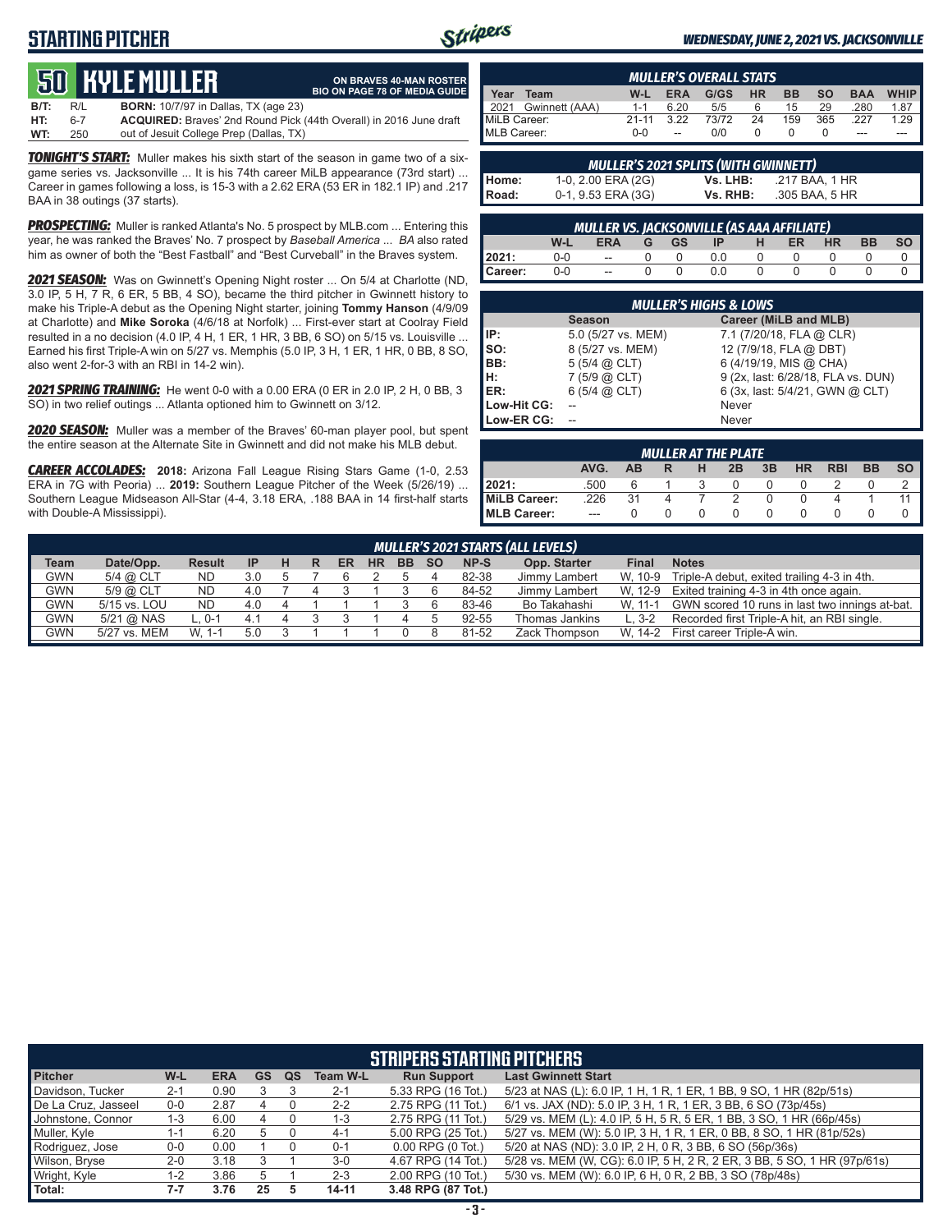# **STARTING PITCHER**



**ON BRAVES 40-MAN ROSTER**

#### *WEDNESDAY, JUNE 2, 2021 VS. JACKSONVILLE*

# **50****KYLE MULLER**

**B/T:** R/L **BORN:** 10/7/97 in Dallas, TX (age 23) **HT:** 6-7 **ACQUIRED:** Braves' 2nd Round Pick (44th Overall) in 2016 June draft out of Jesuit College Prep (Dallas, TX) **BIO ON PAGE 78 OF MEDIA GUIDE**

*TONIGHT'S START:* Muller makes his sixth start of the season in game two of a sixgame series vs. Jacksonville ... It is his 74th career MiLB appearance (73rd start) ... Career in games following a loss, is 15-3 with a 2.62 ERA (53 ER in 182.1 IP) and .217 BAA in 38 outings (37 starts).

**PROSPECTING:** Muller is ranked Atlanta's No. 5 prospect by MLB.com ... Entering this year, he was ranked the Braves' No. 7 prospect by *Baseball America* ... *BA* also rated him as owner of both the "Best Fastball" and "Best Curveball" in the Braves system.

*2021 SEASON:* Was on Gwinnett's Opening Night roster ... On 5/4 at Charlotte (ND, 3.0 IP, 5 H, 7 R, 6 ER, 5 BB, 4 SO), became the third pitcher in Gwinnett history to make his Triple-A debut as the Opening Night starter, joining **Tommy Hanson** (4/9/09 at Charlotte) and **Mike Soroka** (4/6/18 at Norfolk) ... First-ever start at Coolray Field resulted in a no decision (4.0 IP, 4 H, 1 ER, 1 HR, 3 BB, 6 SO) on 5/15 vs. Louisville ... Earned his first Triple-A win on 5/27 vs. Memphis (5.0 IP, 3 H, 1 ER, 1 HR, 0 BB, 8 SO, also went 2-for-3 with an RBI in 14-2 win).

*2021 SPRING TRAINING:* He went 0-0 with a 0.00 ERA (0 ER in 2.0 IP, 2 H, 0 BB, 3 SO) in two relief outings ... Atlanta optioned him to Gwinnett on 3/12.

*2020 SEASON:* Muller was a member of the Braves' 60-man player pool, but spent the entire season at the Alternate Site in Gwinnett and did not make his MLB debut.

*CAREER ACCOLADES:* **2018:** Arizona Fall League Rising Stars Game (1-0, 2.53 ERA in 7G with Peoria) ... **2019:** Southern League Pitcher of the Week (5/26/19) ... Southern League Midseason All-Star (4-4, 3.18 ERA, .188 BAA in 14 first-half starts with Double-A Mississippi).

| <b>MULLER'S OVERALL STATS</b>                                           |         |            |      |           |           |           |            |             |
|-------------------------------------------------------------------------|---------|------------|------|-----------|-----------|-----------|------------|-------------|
| Year<br>Team                                                            | W-L     | <b>ERA</b> | G/GS | <b>HR</b> | <b>BB</b> | <b>SO</b> | <b>BAA</b> | <b>WHIP</b> |
| 2021 Gwinnett (AAA)                                                     | $1 - 1$ | 6.20       | 5/5  | 6         | 15        | 29        | .280       | 1.87        |
| MiLB Career:<br>73/72<br>3.22<br>$21 - 11$<br>159<br>24<br>365<br>227   |         |            |      | 1.29      |           |           |            |             |
| MLB Career:<br>0/0<br>$0 - 0$<br>$\overline{\phantom{a}}$<br>---<br>--- |         |            |      |           |           |           |            |             |

|              | <b>MULLER'S 2021 SPLITS (WITH GWINNETT)</b> |          |                |  |  |  |  |  |  |  |  |  |  |
|--------------|---------------------------------------------|----------|----------------|--|--|--|--|--|--|--|--|--|--|
| Home:        | 1-0, 2.00 ERA (2G)                          | Vs. LHB: | .217 BAA. 1 HR |  |  |  |  |  |  |  |  |  |  |
| <b>Road:</b> | 0-1, 9.53 ERA (3G)                          | Vs. RHB: | .305 BAA. 5 HR |  |  |  |  |  |  |  |  |  |  |

|         | MULLER VS. JACKSONVILLE (AS AAA AFFILIATE)                                                   |        |  |  |     |  |  |  |  |  |  |  |  |  |  |
|---------|----------------------------------------------------------------------------------------------|--------|--|--|-----|--|--|--|--|--|--|--|--|--|--|
|         | <b>SO</b><br><b>BB</b><br><b>HR</b><br>W-L<br>ER<br>GS -<br><b>ERA</b><br>-IP<br>н<br>$-G$ . |        |  |  |     |  |  |  |  |  |  |  |  |  |  |
| 2021:   | $0-0$                                                                                        | $\sim$ |  |  |     |  |  |  |  |  |  |  |  |  |  |
| Career: | $0-0$                                                                                        | $\sim$ |  |  | 0 O |  |  |  |  |  |  |  |  |  |  |

| <b>MULLER'S HIGHS &amp; LOWS</b> |                     |                                    |  |  |  |  |  |  |  |  |  |
|----------------------------------|---------------------|------------------------------------|--|--|--|--|--|--|--|--|--|
|                                  | <b>Season</b>       | Career (MiLB and MLB)              |  |  |  |  |  |  |  |  |  |
| IP:                              | 5.0 (5/27 vs. MEM)  | 7.1 (7/20/18, FLA @ CLR)           |  |  |  |  |  |  |  |  |  |
| Iso:                             | 8 (5/27 vs. MEM)    | 12 (7/9/18, FLA @ DBT)             |  |  |  |  |  |  |  |  |  |
| BB:                              | $5(5/4)$ $(2)$ CLT) | 6 (4/19/19, MIS @ CHA)             |  |  |  |  |  |  |  |  |  |
| Iн:                              | 7(5/9 @ CLT)        | 9 (2x, last: 6/28/18, FLA vs. DUN) |  |  |  |  |  |  |  |  |  |
| <b>IER:</b>                      | $6(5/4)$ $(2)$ CLT) | 6 (3x, last: 5/4/21, GWN @ CLT)    |  |  |  |  |  |  |  |  |  |
| Low-Hit CG:                      |                     | Never                              |  |  |  |  |  |  |  |  |  |
| Low-ER CG:                       |                     | Never                              |  |  |  |  |  |  |  |  |  |

| <b>MULLER AT THE PLATE</b>                                                     |       |    |  |          |               |  |  |  |  |  |  |  |  |
|--------------------------------------------------------------------------------|-------|----|--|----------|---------------|--|--|--|--|--|--|--|--|
| AVG.<br><b>BB</b><br><b>SO</b><br>HR<br><b>RBI</b><br>3B<br>2B<br>AB<br>н<br>R |       |    |  |          |               |  |  |  |  |  |  |  |  |
| 12021:                                                                         | .500  |    |  |          | $\Omega$      |  |  |  |  |  |  |  |  |
| MiLB Career:                                                                   | .226  | 31 |  |          | $\mathcal{P}$ |  |  |  |  |  |  |  |  |
| <b>IMLB Career:</b>                                                            | $---$ |    |  | $\Omega$ | $\Omega$      |  |  |  |  |  |  |  |  |

|             | MULLER'S 2021 STARTS (ALL LEVELS) |               |           |   |   |    |           |           |               |       |                |         |                                                |
|-------------|-----------------------------------|---------------|-----------|---|---|----|-----------|-----------|---------------|-------|----------------|---------|------------------------------------------------|
| <b>Team</b> | Date/Opp.                         | <b>Result</b> | <b>IP</b> | н | R | ER | <b>HR</b> | <b>BB</b> | -SO           | NP-S  | Opp. Starter   | Final   | <b>Notes</b>                                   |
| <b>GWN</b>  | 5/4 @ CLT                         | <b>ND</b>     | 3.0       |   |   |    |           |           |               | 82-38 | Jimmy Lambert  | W. 10-9 | Triple-A debut, exited trailing 4-3 in 4th.    |
| <b>GWN</b>  | 5/9 @ CLT                         | ND            | 4.0       |   |   |    |           |           |               | 84-52 | Jimmy Lambert  | W. 12-9 | Exited training 4-3 in 4th once again.         |
| GWN         | 5/15 vs. LOU                      | <b>ND</b>     | 4.0       |   |   |    |           |           |               | 83-46 | Bo Takahashi   | W. 11-1 | GWN scored 10 runs in last two innings at-bat. |
| GWN         | 5/21 @ NAS                        | $L.0-1$       | 4.1       |   |   |    |           |           | $\mathcal{L}$ | 92-55 | Thomas Jankins | $L.3-2$ | Recorded first Triple-A hit, an RBI single.    |
| GWN         | 5/27 vs. MEM                      | $W. 1-1$      | 5.0       |   |   |    |           |           |               | 81-52 | Zack Thompson  | W. 14-2 | First career Triple-A win.                     |

| <b>STRIPERS STARTING PITCHERS</b> |         |            |           |    |                 |                       |                                                                          |  |  |  |  |  |
|-----------------------------------|---------|------------|-----------|----|-----------------|-----------------------|--------------------------------------------------------------------------|--|--|--|--|--|
| <b>Pitcher</b>                    | W-L     | <b>ERA</b> | <b>GS</b> | QS | <b>Team W-L</b> | <b>Run Support</b>    | <b>Last Gwinnett Start</b>                                               |  |  |  |  |  |
| Davidson, Tucker                  | $2 - 1$ | 0.90       |           |    | $2 - 1$         | 5.33 RPG (16 Tot.)    | 5/23 at NAS (L): 6.0 IP, 1 H, 1 R, 1 ER, 1 BB, 9 SO, 1 HR (82p/51s)      |  |  |  |  |  |
| De La Cruz, Jasseel               | $0-0$   | 2.87       |           |    | $2 - 2$         | 2.75 RPG (11 Tot.)    | 6/1 vs. JAX (ND): 5.0 IP, 3 H, 1 R, 1 ER, 3 BB, 6 SO (73p/45s)           |  |  |  |  |  |
| Johnstone, Connor                 | 1-3     | 6.00       |           |    | $1 - 3$         | 2.75 RPG (11 Tot.)    | 5/29 vs. MEM (L): 4.0 IP, 5 H, 5 R, 5 ER, 1 BB, 3 SO, 1 HR (66p/45s)     |  |  |  |  |  |
| Muller, Kyle                      | $1 - 1$ | 6.20       | 5         |    | $4 - 1$         | 5.00 RPG (25 Tot.)    | 5/27 vs. MEM (W): 5.0 IP, 3 H, 1 R, 1 ER, 0 BB, 8 SO, 1 HR (81p/52s)     |  |  |  |  |  |
| Rodriguez, Jose                   | $0-0$   | 0.00       |           |    | $0 - 1$         | $0.00$ RPG $(0$ Tot.) | 5/20 at NAS (ND): 3.0 IP, 2 H, 0 R, 3 BB, 6 SO (56p/36s)                 |  |  |  |  |  |
| Wilson, Bryse                     | $2 - 0$ | 3.18       |           |    | $3-0$           | 4.67 RPG (14 Tot.)    | 5/28 vs. MEM (W, CG): 6.0 IP, 5 H, 2 R, 2 ER, 3 BB, 5 SO, 1 HR (97p/61s) |  |  |  |  |  |
| Wright, Kyle                      | 1-2     | 3.86       |           |    | $2 - 3$         | 2.00 RPG (10 Tot.)    | 5/30 vs. MEM (W): 6.0 IP, 6 H, 0 R, 2 BB, 3 SO (78p/48s)                 |  |  |  |  |  |
| Total:                            | $7 - 7$ | 3.76       | 25        |    | $14 - 11$       | 3.48 RPG (87 Tot.)    |                                                                          |  |  |  |  |  |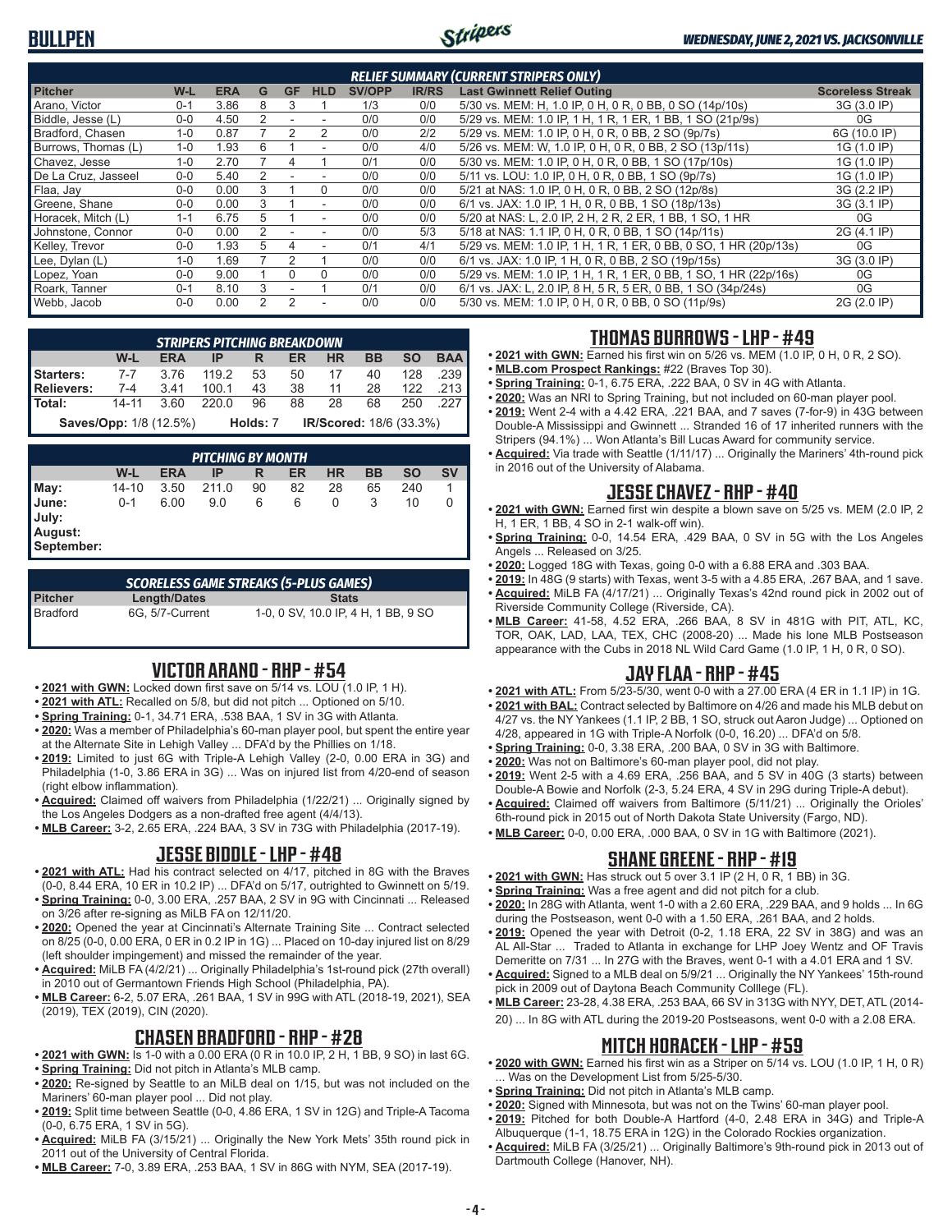# **BULLPEN**



#### *WEDNESDAY, JUNE 2, 2021 VS. JACKSONVILLE*

| <b>RELIEF SUMMARY (CURRENT STRIPERS ONLY)</b> |         |            |   |               |                |               |              |                                                                  |                         |  |  |  |
|-----------------------------------------------|---------|------------|---|---------------|----------------|---------------|--------------|------------------------------------------------------------------|-------------------------|--|--|--|
| <b>Pitcher</b>                                | W-L     | <b>ERA</b> | G | <b>GF</b>     | <b>HLD</b>     | <b>SV/OPP</b> | <b>IR/RS</b> | <b>Last Gwinnett Relief Outing</b>                               | <b>Scoreless Streak</b> |  |  |  |
| Arano, Victor                                 | $0 - 1$ | 3.86       | 8 | З             |                | 1/3           | 0/0          | 5/30 vs. MEM: H, 1.0 IP, 0 H, 0 R, 0 BB, 0 SO (14p/10s)          | 3G (3.0 IP)             |  |  |  |
| Biddle, Jesse (L)                             | $0 - 0$ | 4.50       | 2 |               |                | 0/0           | 0/0          | 5/29 vs. MEM: 1.0 IP, 1 H, 1 R, 1 ER, 1 BB, 1 SO (21p/9s)        | 0G                      |  |  |  |
| Bradford, Chasen                              | $1 - 0$ | 0.87       |   |               |                | 0/0           | 2/2          | 5/29 vs. MEM: 1.0 IP, 0 H, 0 R, 0 BB, 2 SO (9p/7s)               | 6G (10.0 IP)            |  |  |  |
| Burrows, Thomas (L)                           | $1 - 0$ | 1.93       | 6 |               |                | 0/0           | 4/0          | 5/26 vs. MEM: W, 1.0 IP, 0 H, 0 R, 0 BB, 2 SO (13p/11s)          | 1G (1.0 IP)             |  |  |  |
| Chavez, Jesse                                 | $1 - 0$ | 2.70       |   |               |                | 0/1           | 0/0          | 5/30 vs. MEM: 1.0 IP, 0 H, 0 R, 0 BB, 1 SO (17p/10s)             | 1G (1.0 IP)             |  |  |  |
| De La Cruz. Jasseel                           | $0 - 0$ | 5.40       |   |               |                | 0/0           | 0/0          | 5/11 vs. LOU: 1.0 IP, 0 H, 0 R, 0 BB, 1 SO (9p/7s)               | 1G (1.0 IP)             |  |  |  |
| Flaa, Jay                                     | $0 - 0$ | 0.00       | 3 |               | $\Omega$       | 0/0           | 0/0          | 5/21 at NAS: 1.0 IP, 0 H, 0 R, 0 BB, 2 SO (12p/8s)               | 3G (2.2 IP)             |  |  |  |
| Greene, Shane                                 | $0 - 0$ | 0.00       | 3 |               | $\overline{a}$ | 0/0           | 0/0          | 6/1 vs. JAX: 1.0 IP, 1 H, 0 R, 0 BB, 1 SO (18p/13s)              | 3G (3.1 IP)             |  |  |  |
| Horacek, Mitch (L)                            | $1 - 1$ | 6.75       | 5 |               |                | 0/0           | 0/0          | 5/20 at NAS: L, 2.0 IP, 2 H, 2 R, 2 ER, 1 BB, 1 SO, 1 HR         | 0G                      |  |  |  |
| Johnstone, Connor                             | $0 - 0$ | 0.00       |   |               |                | 0/0           | 5/3          | 5/18 at NAS: 1.1 IP, 0 H, 0 R, 0 BB, 1 SO (14p/11s)              | 2G (4.1 IP)             |  |  |  |
| Kelley, Trevor                                | $0 - 0$ | 1.93       | 5 |               |                | 0/1           | 4/1          | 5/29 vs. MEM: 1.0 IP, 1 H, 1 R, 1 ER, 0 BB, 0 SO, 1 HR (20p/13s) | 0G                      |  |  |  |
| Lee, Dylan (L)                                | $1 - 0$ | 1.69       |   |               |                | 0/0           | 0/0          | 6/1 vs. JAX: 1.0 IP, 1 H, 0 R, 0 BB, 2 SO (19p/15s)              | 3G (3.0 IP)             |  |  |  |
| Lopez, Yoan                                   | $0 - 0$ | 9.00       |   |               |                | 0/0           | 0/0          | 5/29 vs. MEM: 1.0 IP, 1 H, 1 R, 1 ER, 0 BB, 1 SO, 1 HR (22p/16s) | 0G                      |  |  |  |
| Roark, Tanner                                 | $0 - 1$ | 8.10       | 3 |               |                | 0/1           | 0/0          | 6/1 vs. JAX: L, 2.0 IP, 8 H, 5 R, 5 ER, 0 BB, 1 SO (34p/24s)     | 0G                      |  |  |  |
| Webb, Jacob                                   | $0 - 0$ | 0.00       | 2 | $\mathcal{P}$ |                | 0/0           | 0/0          | 5/30 vs. MEM: 1.0 IP, 0 H, 0 R, 0 BB, 0 SO (11p/9s)              | 2G (2.0 IP)             |  |  |  |

|                               | <b>STRIPERS PITCHING BREAKDOWN</b> |            |       |          |    |                                |           |           |            |  |  |  |  |
|-------------------------------|------------------------------------|------------|-------|----------|----|--------------------------------|-----------|-----------|------------|--|--|--|--|
|                               | W-L                                | <b>ERA</b> | IP    | R        | ER | <b>HR</b>                      | <b>BB</b> | <b>SO</b> | <b>BAA</b> |  |  |  |  |
| Starters:                     | $7 - 7$                            | 3.76       | 119.2 | 53       | 50 | 17                             | 40        | 128       | .239 I     |  |  |  |  |
| Relievers:                    | $7 - 4$                            | 3.41       | 100.1 | 43       | 38 | 11                             | 28        | 122       | .213       |  |  |  |  |
| <b>I</b> Total:               | $14 - 11$                          | 3.60       | 220 O | 96       | 88 | 28                             | 68        | 250       | 227 L      |  |  |  |  |
| <b>Saves/Opp: 1/8 (12.5%)</b> |                                    |            |       | Holds: 7 |    | <b>IR/Scored: 18/6 (33.3%)</b> |           |           |            |  |  |  |  |

|                       | <b>PITCHING BY MONTH</b> |            |       |    |    |           |    |           |           |  |  |  |
|-----------------------|--------------------------|------------|-------|----|----|-----------|----|-----------|-----------|--|--|--|
|                       | W-L                      | <b>ERA</b> | ΙP    | R  | ER | <b>HR</b> | BB | <b>SO</b> | <b>SV</b> |  |  |  |
| May:                  | $14 - 10$                | 3.50       | 211.0 | 90 | 82 | 28        | 65 | 240       |           |  |  |  |
| June:<br>July:        | $0 - 1$                  | 6.00       | 9.0   | 6  | 6  | 0         | 3  | 10        | 0         |  |  |  |
| August:<br>September: |                          |            |       |    |    |           |    |           |           |  |  |  |

| <b>SCORELESS GAME STREAKS (5-PLUS GAMES)</b> |                 |                                     |  |  |  |  |  |  |  |  |  |
|----------------------------------------------|-----------------|-------------------------------------|--|--|--|--|--|--|--|--|--|
| <b>Pitcher</b>                               | Length/Dates    | <b>Stats</b>                        |  |  |  |  |  |  |  |  |  |
| Bradford                                     | 6G. 5/7-Current | 1-0, 0 SV, 10.0 IP, 4 H, 1 BB, 9 SO |  |  |  |  |  |  |  |  |  |

## **VICTOR ARANO - RHP - #54**

- **• 2021 with GWN:** Locked down first save on 5/14 vs. LOU (1.0 IP, 1 H).
- **• 2021 with ATL:** Recalled on 5/8, but did not pitch ... Optioned on 5/10.
- **• Spring Training:** 0-1, 34.71 ERA, .538 BAA, 1 SV in 3G with Atlanta.
- **• 2020:** Was a member of Philadelphia's 60-man player pool, but spent the entire year at the Alternate Site in Lehigh Valley ... DFA'd by the Phillies on 1/18.
- **• 2019:** Limited to just 6G with Triple-A Lehigh Valley (2-0, 0.00 ERA in 3G) and Philadelphia (1-0, 3.86 ERA in 3G) ... Was on injured list from 4/20-end of season (right elbow inflammation).
- **• Acquired:** Claimed off waivers from Philadelphia (1/22/21) ... Originally signed by the Los Angeles Dodgers as a non-drafted free agent (4/4/13).
- **• MLB Career:** 3-2, 2.65 ERA, .224 BAA, 3 SV in 73G with Philadelphia (2017-19).

### **JESSE BIDDLE - LHP - #48**

- **• 2021 with ATL:** Had his contract selected on 4/17, pitched in 8G with the Braves (0-0, 8.44 ERA, 10 ER in 10.2 IP) ... DFA'd on 5/17, outrighted to Gwinnett on 5/19.
- **• Spring Training:** 0-0, 3.00 ERA, .257 BAA, 2 SV in 9G with Cincinnati ... Released on 3/26 after re-signing as MiLB FA on 12/11/20.
- **• 2020:** Opened the year at Cincinnati's Alternate Training Site ... Contract selected on 8/25 (0-0, 0.00 ERA, 0 ER in 0.2 IP in 1G) ... Placed on 10-day injured list on 8/29 (left shoulder impingement) and missed the remainder of the year.
- **• Acquired:** MiLB FA (4/2/21) ... Originally Philadelphia's 1st-round pick (27th overall) in 2010 out of Germantown Friends High School (Philadelphia, PA).
- **• MLB Career:** 6-2, 5.07 ERA, .261 BAA, 1 SV in 99G with ATL (2018-19, 2021), SEA (2019), TEX (2019), CIN (2020).

## **CHASEN BRADFORD - RHP - #28**

- **• 2021 with GWN:** Is 1-0 with a 0.00 ERA (0 R in 10.0 IP, 2 H, 1 BB, 9 SO) in last 6G.
- **• Spring Training:** Did not pitch in Atlanta's MLB camp. **• 2020:** Re-signed by Seattle to an MiLB deal on 1/15, but was not included on the
- Mariners' 60-man player pool ... Did not play.
- **• 2019:** Split time between Seattle (0-0, 4.86 ERA, 1 SV in 12G) and Triple-A Tacoma (0-0, 6.75 ERA, 1 SV in 5G).
- **• Acquired:** MiLB FA (3/15/21) ... Originally the New York Mets' 35th round pick in 2011 out of the University of Central Florida.
- **• MLB Career:** 7-0, 3.89 ERA, .253 BAA, 1 SV in 86G with NYM, SEA (2017-19).

#### **THOMAS BURROWS - LHP - #49**

- **• 2021 with GWN:** Earned his first win on 5/26 vs. MEM (1.0 IP, 0 H, 0 R, 2 SO).
- **• MLB.com Prospect Rankings:** #22 (Braves Top 30).
- **• Spring Training:** 0-1, 6.75 ERA, .222 BAA, 0 SV in 4G with Atlanta.
- **• 2020:** Was an NRI to Spring Training, but not included on 60-man player pool. **• 2019:** Went 2-4 with a 4.42 ERA, .221 BAA, and 7 saves (7-for-9) in 43G between
- Double-A Mississippi and Gwinnett ... Stranded 16 of 17 inherited runners with the Stripers (94.1%) ... Won Atlanta's Bill Lucas Award for community service.
- **• Acquired:** Via trade with Seattle (1/11/17) ... Originally the Mariners' 4th-round pick in 2016 out of the University of Alabama.

#### **JESSE CHAVEZ - RHP - #40**

- **• 2021 with GWN:** Earned first win despite a blown save on 5/25 vs. MEM (2.0 IP, 2 H, 1 ER, 1 BB, 4 SO in 2-1 walk-off win).
- **• Spring Training:** 0-0, 14.54 ERA, .429 BAA, 0 SV in 5G with the Los Angeles Angels ... Released on 3/25.
- **• 2020:** Logged 18G with Texas, going 0-0 with a 6.88 ERA and .303 BAA.
- **• 2019:** In 48G (9 starts) with Texas, went 3-5 with a 4.85 ERA, .267 BAA, and 1 save. **• Acquired:** MiLB FA (4/17/21) ... Originally Texas's 42nd round pick in 2002 out of Riverside Community College (Riverside, CA).
- **• MLB Career:** 41-58, 4.52 ERA, .266 BAA, 8 SV in 481G with PIT, ATL, KC, TOR, OAK, LAD, LAA, TEX, CHC (2008-20) ... Made his lone MLB Postseason appearance with the Cubs in 2018 NL Wild Card Game (1.0 IP, 1 H, 0 R, 0 SO).

## **JAY FLAA - RHP - #45**

- **• 2021 with ATL:** From 5/23-5/30, went 0-0 with a 27.00 ERA (4 ER in 1.1 IP) in 1G.
- **• 2021 with BAL:** Contract selected by Baltimore on 4/26 and made his MLB debut on 4/27 vs. the NY Yankees (1.1 IP, 2 BB, 1 SO, struck out Aaron Judge) ... Optioned on 4/28, appeared in 1G with Triple-A Norfolk (0-0, 16.20) ... DFA'd on 5/8.
- **• Spring Training:** 0-0, 3.38 ERA, .200 BAA, 0 SV in 3G with Baltimore.
- **• 2020:** Was not on Baltimore's 60-man player pool, did not play.
- **• 2019:** Went 2-5 with a 4.69 ERA, .256 BAA, and 5 SV in 40G (3 starts) between Double-A Bowie and Norfolk (2-3, 5.24 ERA, 4 SV in 29G during Triple-A debut).
- **• Acquired:** Claimed off waivers from Baltimore (5/11/21) ... Originally the Orioles' 6th-round pick in 2015 out of North Dakota State University (Fargo, ND).
- **• MLB Career:** 0-0, 0.00 ERA, .000 BAA, 0 SV in 1G with Baltimore (2021).

## **SHANE GREENE - RHP - #19**

- **• 2021 with GWN:** Has struck out 5 over 3.1 IP (2 H, 0 R, 1 BB) in 3G.
- **• Spring Training:** Was a free agent and did not pitch for a club.
- **• 2020:** In 28G with Atlanta, went 1-0 with a 2.60 ERA, .229 BAA, and 9 holds ... In 6G during the Postseason, went 0-0 with a 1.50 ERA, .261 BAA, and 2 holds.
- **• 2019:** Opened the year with Detroit (0-2, 1.18 ERA, 22 SV in 38G) and was an AL All-Star ... Traded to Atlanta in exchange for LHP Joey Wentz and OF Travis Demeritte on 7/31 ... In 27G with the Braves, went 0-1 with a 4.01 ERA and 1 SV.
- **• Acquired:** Signed to a MLB deal on 5/9/21 ... Originally the NY Yankees' 15th-round pick in 2009 out of Daytona Beach Community Colllege (FL).
- **• MLB Career:** 23-28, 4.38 ERA, .253 BAA, 66 SV in 313G with NYY, DET, ATL (2014- 20) ... In 8G with ATL during the 2019-20 Postseasons, went 0-0 with a 2.08 ERA.

## **MITCH HORACEK - LHP - #59**

- **• 2020 with GWN:** Earned his first win as a Striper on 5/14 vs. LOU (1.0 IP, 1 H, 0 R) ... Was on the Development List from 5/25-5/30.
- **• Spring Training:** Did not pitch in Atlanta's MLB camp.
- **• 2020:** Signed with Minnesota, but was not on the Twins' 60-man player pool.
- **• 2019:** Pitched for both Double-A Hartford (4-0, 2.48 ERA in 34G) and Triple-A Albuquerque (1-1, 18.75 ERA in 12G) in the Colorado Rockies organization.
- **• Acquired:** MiLB FA (3/25/21) ... Originally Baltimore's 9th-round pick in 2013 out of Dartmouth College (Hanover, NH).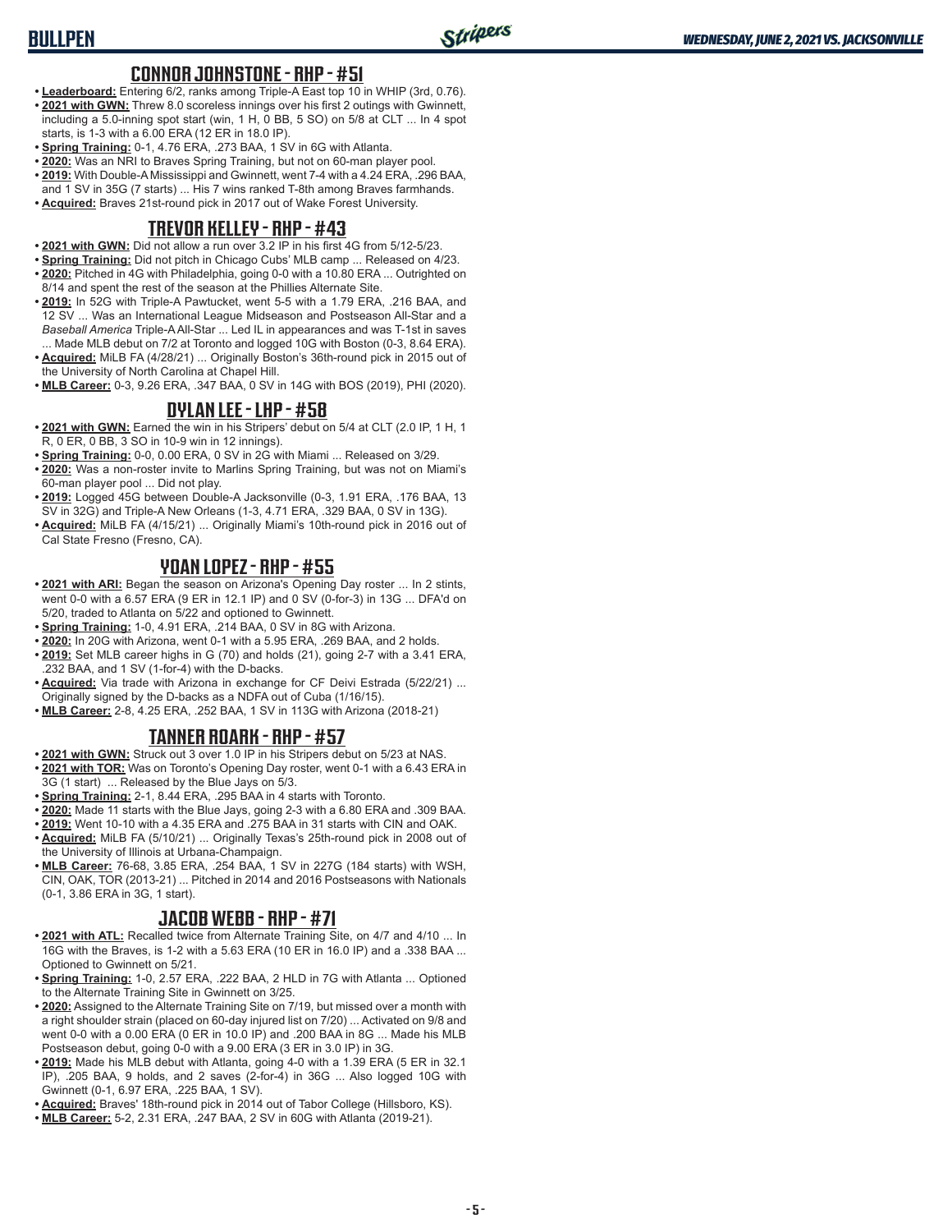## **CONNOR JOHNSTONE - RHP - #51**

- **• Leaderboard:** Entering 6/2, ranks among Triple-A East top 10 in WHIP (3rd, 0.76). **• 2021 with GWN:** Threw 8.0 scoreless innings over his first 2 outings with Gwinnett, including a 5.0-inning spot start (win, 1 H, 0 BB, 5 SO) on 5/8 at CLT ... In 4 spot starts, is 1-3 with a 6.00 ERA (12 ER in 18.0 IP).
- **• Spring Training:** 0-1, 4.76 ERA, .273 BAA, 1 SV in 6G with Atlanta.
- **• 2020:** Was an NRI to Braves Spring Training, but not on 60-man player pool.
- **• 2019:** With Double-A Mississippi and Gwinnett, went 7-4 with a 4.24 ERA, .296 BAA, and 1 SV in 35G (7 starts) ... His 7 wins ranked T-8th among Braves farmhands.
- **• Acquired:** Braves 21st-round pick in 2017 out of Wake Forest University.

#### **TREVOR KELLEY - RHP - #43**

- **• 2021 with GWN:** Did not allow a run over 3.2 IP in his first 4G from 5/12-5/23.
- **• Spring Training:** Did not pitch in Chicago Cubs' MLB camp ... Released on 4/23.
- **• 2020:** Pitched in 4G with Philadelphia, going 0-0 with a 10.80 ERA ... Outrighted on 8/14 and spent the rest of the season at the Phillies Alternate Site.
- **• 2019:** In 52G with Triple-A Pawtucket, went 5-5 with a 1.79 ERA, .216 BAA, and 12 SV ... Was an International League Midseason and Postseason All-Star and a *Baseball America* Triple-A All-Star ... Led IL in appearances and was T-1st in saves ... Made MLB debut on 7/2 at Toronto and logged 10G with Boston (0-3, 8.64 ERA).
- **• Acquired:** MiLB FA (4/28/21) ... Originally Boston's 36th-round pick in 2015 out of the University of North Carolina at Chapel Hill.
- **• MLB Career:** 0-3, 9.26 ERA, .347 BAA, 0 SV in 14G with BOS (2019), PHI (2020).

#### **DYLAN LEE - LHP - #58**

- **• 2021 with GWN:** Earned the win in his Stripers' debut on 5/4 at CLT (2.0 IP, 1 H, 1 R, 0 ER, 0 BB, 3 SO in 10-9 win in 12 innings).
- **• Spring Training:** 0-0, 0.00 ERA, 0 SV in 2G with Miami ... Released on 3/29.
- **• 2020:** Was a non-roster invite to Marlins Spring Training, but was not on Miami's 60-man player pool ... Did not play.
- **• 2019:** Logged 45G between Double-A Jacksonville (0-3, 1.91 ERA, .176 BAA, 13 SV in 32G) and Triple-A New Orleans (1-3, 4.71 ERA, .329 BAA, 0 SV in 13G).
- **• Acquired:** MiLB FA (4/15/21) ... Originally Miami's 10th-round pick in 2016 out of Cal State Fresno (Fresno, CA).

## **YOAN LOPEZ - RHP - #55**

- **• 2021 with ARI:** Began the season on Arizona's Opening Day roster ... In 2 stints, went 0-0 with a 6.57 ERA (9 ER in 12.1 IP) and 0 SV (0-for-3) in 13G ... DFA'd on 5/20, traded to Atlanta on 5/22 and optioned to Gwinnett.
- **• Spring Training:** 1-0, 4.91 ERA, .214 BAA, 0 SV in 8G with Arizona.
- **• 2020:** In 20G with Arizona, went 0-1 with a 5.95 ERA, .269 BAA, and 2 holds.
- **• 2019:** Set MLB career highs in G (70) and holds (21), going 2-7 with a 3.41 ERA, .232 BAA, and 1 SV (1-for-4) with the D-backs.
- **• Acquired:** Via trade with Arizona in exchange for CF Deivi Estrada (5/22/21) ... Originally signed by the D-backs as a NDFA out of Cuba (1/16/15).
- **• MLB Career:** 2-8, 4.25 ERA, .252 BAA, 1 SV in 113G with Arizona (2018-21)

## **TANNER ROARK - RHP - #57**

- **• 2021 with GWN:** Struck out 3 over 1.0 IP in his Stripers debut on 5/23 at NAS.
- **• 2021 with TOR:** Was on Toronto's Opening Day roster, went 0-1 with a 6.43 ERA in 3G (1 start) ... Released by the Blue Jays on 5/3.
- **• Spring Training:** 2-1, 8.44 ERA, .295 BAA in 4 starts with Toronto.
- **• 2020:** Made 11 starts with the Blue Jays, going 2-3 with a 6.80 ERA and .309 BAA.
- **• 2019:** Went 10-10 with a 4.35 ERA and .275 BAA in 31 starts with CIN and OAK. **• Acquired:** MiLB FA (5/10/21) ... Originally Texas's 25th-round pick in 2008 out of
- the University of Illinois at Urbana-Champaign.
- **• MLB Career:** 76-68, 3.85 ERA, .254 BAA, 1 SV in 227G (184 starts) with WSH, CIN, OAK, TOR (2013-21) ... Pitched in 2014 and 2016 Postseasons with Nationals (0-1, 3.86 ERA in 3G, 1 start).

#### **JACOB WEBB - RHP - #71**

- **• 2021 with ATL:** Recalled twice from Alternate Training Site, on 4/7 and 4/10 ... In 16G with the Braves, is 1-2 with a 5.63 ERA (10 ER in 16.0 IP) and a .338 BAA ... Optioned to Gwinnett on 5/21.
- **• Spring Training:** 1-0, 2.57 ERA, .222 BAA, 2 HLD in 7G with Atlanta ... Optioned to the Alternate Training Site in Gwinnett on 3/25.
- **• 2020:** Assigned to the Alternate Training Site on 7/19, but missed over a month with a right shoulder strain (placed on 60-day injured list on 7/20) ... Activated on 9/8 and went 0-0 with a 0.00 ERA (0 ER in 10.0 IP) and .200 BAA in 8G ... Made his MLB Postseason debut, going 0-0 with a 9.00 ERA (3 ER in 3.0 IP) in 3G.
- **• 2019:** Made his MLB debut with Atlanta, going 4-0 with a 1.39 ERA (5 ER in 32.1 IP), .205 BAA, 9 holds, and 2 saves (2-for-4) in 36G ... Also logged 10G with Gwinnett (0-1, 6.97 ERA, .225 BAA, 1 SV).
- **• Acquired:** Braves' 18th-round pick in 2014 out of Tabor College (Hillsboro, KS).
- **• MLB Career:** 5-2, 2.31 ERA, .247 BAA, 2 SV in 60G with Atlanta (2019-21).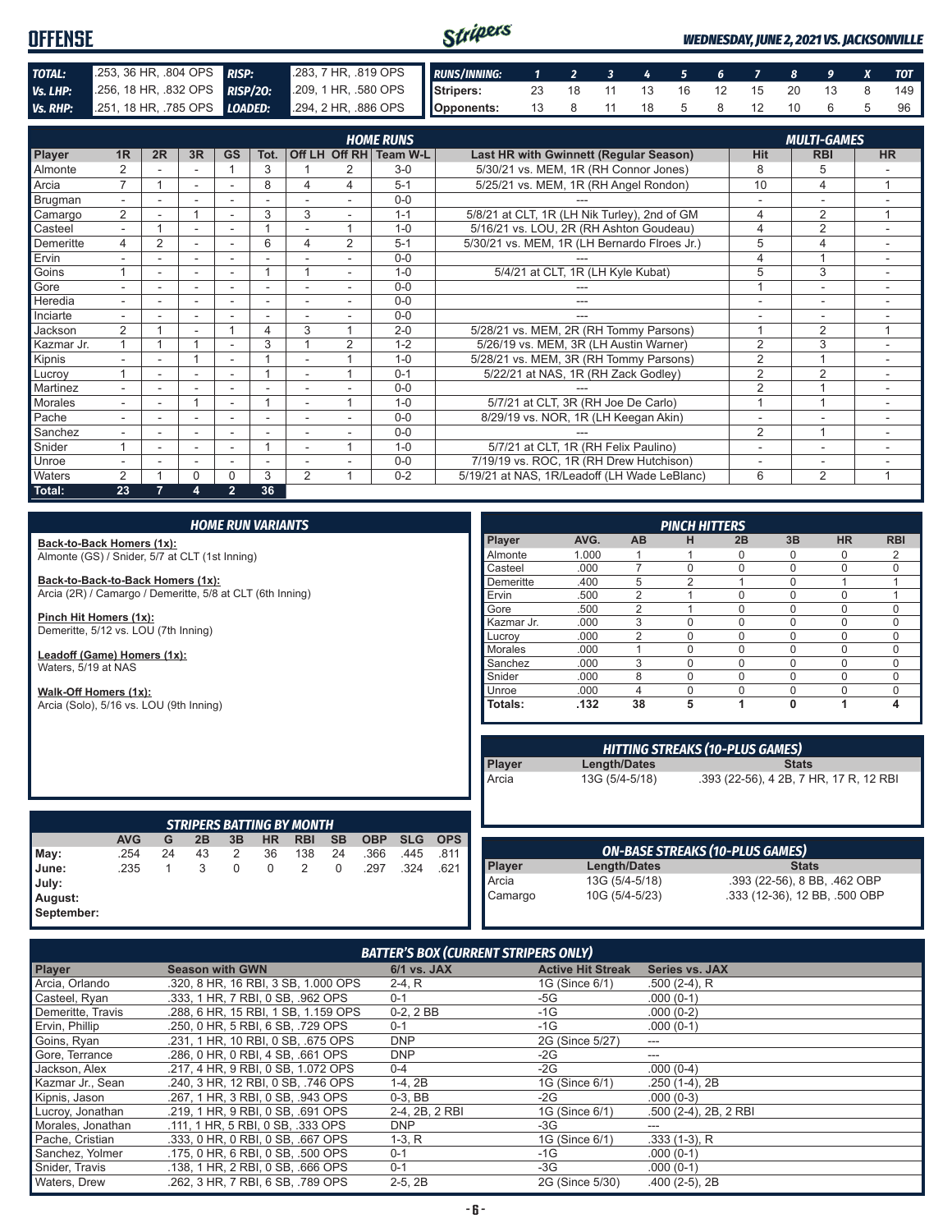| <b>OFFENSE</b> |                                                                    |  | Stripers<br><b>WEDNESDAY, JUNE 2, 2021 VS. JACKSONVILLE</b> |  |  |  |  |                        |  |  |  |  |     |
|----------------|--------------------------------------------------------------------|--|-------------------------------------------------------------|--|--|--|--|------------------------|--|--|--|--|-----|
| TOTAL:         | 253, 36 HR, 804 OPS RISP:                                          |  | 283, 7 HR, 819 OPS RUNS/INNING: 1 2 3 4 5 6 7 8 9 X TOT     |  |  |  |  |                        |  |  |  |  |     |
| Vs. LHP:       | 256, 18 HR, 832 OPS RISP/20:                                       |  | 209, 1 HR, 580 OPS Stripers: 23 18 11 13 16 12 15 20 13 8   |  |  |  |  |                        |  |  |  |  | 149 |
|                | Vs. RHP: 251, 18 HR, 785 OPS LOADED: 294, 2 HR, 886 OPS Opponents: |  |                                                             |  |  |  |  | 13 8 11 18 5 8 12 10 6 |  |  |  |  | 96  |

|                |                |    |                          |                          |                          |                          |   | <b>HOME RUNS</b>       |                                              |                | <b>MULTI-GAMES</b>       |                |
|----------------|----------------|----|--------------------------|--------------------------|--------------------------|--------------------------|---|------------------------|----------------------------------------------|----------------|--------------------------|----------------|
| <b>Player</b>  | 1R             | 2R | 3R                       | <b>GS</b>                | Tot.                     |                          |   | Off LH Off RH Team W-L | Last HR with Gwinnett (Regular Season)       | Hit            | <b>RBI</b>               | <b>HR</b>      |
| Almonte        | $\overline{2}$ |    |                          |                          | 3                        |                          | 2 | $3-0$                  | 5/30/21 vs. MEM, 1R (RH Connor Jones)        | 8              | 5                        |                |
| Arcia          | $\overline{7}$ |    | $\sim$                   | ٠                        | 8                        | 4                        | 4 | $5 - 1$                | 5/25/21 vs. MEM, 1R (RH Angel Rondon)        | 10             | 4                        |                |
| Brugman        | $\sim$         |    |                          | ٠                        |                          |                          |   | $0 - 0$                |                                              |                | ۰                        |                |
| Camargo        | $\overline{2}$ |    |                          |                          | 3                        | 3                        |   | $1 - 1$                | 5/8/21 at CLT, 1R (LH Nik Turley), 2nd of GM | 4              | $\overline{2}$           |                |
| Casteel        |                |    | $\overline{\phantom{a}}$ | ٠                        |                          |                          | 4 | $1 - 0$                | 5/16/21 vs. LOU, 2R (RH Ashton Goudeau)      | 4              | $\overline{2}$           | $\sim$         |
| Demeritte      | 4              | 2  | $\overline{\phantom{a}}$ |                          | 6                        | 4                        | 2 | $5 - 1$                | 5/30/21 vs. MEM, 1R (LH Bernardo Flroes Jr.) | 5              | $\overline{4}$           |                |
| Ervin          |                |    | $\overline{\phantom{a}}$ | ٠                        | ٠                        |                          |   | $0 - 0$                |                                              | 4              |                          |                |
| Goins          |                |    |                          |                          |                          |                          |   | $1 - 0$                | 5/4/21 at CLT, 1R (LH Kyle Kubat)            | 5              | 3                        | ٠              |
| Gore           |                |    | <u>. .</u>               | ۰                        | ۳                        |                          |   | $0 - 0$                |                                              |                | ٠                        | ÷.             |
| Heredia        | $\sim$         |    | ٠                        | ۰                        | ٠                        | $\overline{\phantom{0}}$ |   | $0 - 0$                | ---                                          | ۰              | $\overline{\phantom{a}}$ | ۰              |
| Inciarte       |                |    |                          |                          |                          |                          |   | $0 - 0$                |                                              |                |                          |                |
| Jackson        | $\overline{2}$ |    |                          |                          | 4                        | 3                        |   | $2 - 0$                | 5/28/21 vs. MEM, 2R (RH Tommy Parsons)       |                | $\overline{2}$           | $\overline{A}$ |
| Kazmar Jr.     |                |    |                          | ٠                        | 3                        |                          | 2 | $1 - 2$                | 5/26/19 vs. MEM, 3R (LH Austin Warner)       | $\overline{2}$ | 3                        |                |
| Kipnis         |                |    |                          |                          |                          |                          |   | $1 - 0$                | 5/28/21 vs. MEM, 3R (RH Tommy Parsons)       | $\overline{2}$ |                          |                |
| Lucroy         |                |    |                          |                          |                          |                          |   | $0 - 1$                | 5/22/21 at NAS, 1R (RH Zack Godley)          | $\overline{2}$ | $\overline{2}$           | ٠              |
| Martinez       |                |    |                          | ٠                        |                          | ٠                        |   | $0 - 0$                |                                              | $\overline{2}$ |                          |                |
| <b>Morales</b> |                | ۰  |                          | ۰                        |                          | ٠                        | и | $1 - \Omega$           | 5/7/21 at CLT, 3R (RH Joe De Carlo)          |                | $\overline{4}$           | ٠.             |
| Pache          |                |    | -                        | $\overline{\phantom{0}}$ |                          |                          |   | $0 - 0$                | 8/29/19 vs. NOR, 1R (LH Keegan Akin)         |                | ٠                        |                |
| Sanchez        |                |    |                          |                          |                          |                          |   | $0-0$                  |                                              | $\overline{2}$ | $\overline{A}$           |                |
| Snider         |                |    | ٠                        | $\overline{\phantom{0}}$ |                          |                          | и | $1 - 0$                | 5/7/21 at CLT, 1R (RH Felix Paulino)         | ٠              | ٠                        |                |
| Unroe          |                |    | $\sim$                   | ٠                        | $\overline{\phantom{a}}$ |                          |   | $0 - 0$                | 7/19/19 vs. ROC, 1R (RH Drew Hutchison)      | ä,             | ٠                        |                |
| Waters         | $\overline{2}$ |    | 0                        | $\Omega$                 | 3                        | $\mathfrak{p}$           | и | $0 - 2$                | 5/19/21 at NAS, 1R/Leadoff (LH Wade LeBlanc) | 6              | 2                        |                |
| Total:         | 23             |    | 4                        | $\overline{2}$           | 36                       |                          |   |                        |                                              |                |                          |                |

| <b>HOME RUN VARIANTS</b>                                  |            |    |    |             |             |                                  |           |            |            | <b>PINCH HITTERS</b> |                |      |                |                |                                        |              |                                        |            |
|-----------------------------------------------------------|------------|----|----|-------------|-------------|----------------------------------|-----------|------------|------------|----------------------|----------------|------|----------------|----------------|----------------------------------------|--------------|----------------------------------------|------------|
| Back-to-Back Homers (1x):                                 |            |    |    |             |             |                                  |           |            |            |                      | Player         | AVG. | <b>AB</b>      | н              | 2B                                     | 3B           | <b>HR</b>                              | <b>RBI</b> |
| Almonte (GS) / Snider, 5/7 at CLT (1st Inning)            |            |    |    |             |             | Almonte                          | 1.000     |            |            | $\mathbf 0$          | $\mathbf{0}$   | 0    | 2              |                |                                        |              |                                        |            |
|                                                           |            |    |    |             |             |                                  |           |            |            |                      | Casteel        | .000 | $\overline{7}$ | $\Omega$       | $\Omega$                               | $\Omega$     | $\Omega$                               | 0          |
| Back-to-Back-to-Back Homers (1x):                         |            |    |    |             |             |                                  |           |            |            |                      | Demeritte      | .400 | 5              | $\overline{2}$ |                                        | $\mathbf 0$  |                                        |            |
| Arcia (2R) / Camargo / Demeritte, 5/8 at CLT (6th Inning) |            |    |    |             |             |                                  |           |            |            |                      | Ervin          | .500 | $\overline{2}$ |                | $\Omega$                               | $\Omega$     | 0                                      |            |
|                                                           |            |    |    |             |             |                                  |           |            |            |                      | Gore           | .500 | $\overline{2}$ |                | $\Omega$                               | $\Omega$     | 0                                      | 0          |
| Pinch Hit Homers (1x):                                    |            |    |    |             |             |                                  |           |            |            |                      | Kazmar Jr.     | .000 | 3              | $\Omega$       | $\Omega$                               | $\Omega$     | 0                                      | 0          |
| Demeritte, 5/12 vs. LOU (7th Inning)                      |            |    |    |             |             |                                  |           |            |            |                      | Lucrov         | .000 | $\overline{2}$ | $\Omega$       | $\Omega$                               | $\Omega$     | $\mathbf 0$                            | 0          |
|                                                           |            |    |    |             |             |                                  |           |            |            |                      | <b>Morales</b> | .000 | ×              | $\Omega$       | $\Omega$                               | $\Omega$     | 0                                      | 0          |
| Leadoff (Game) Homers (1x):                               |            |    |    |             |             |                                  |           |            |            |                      | Sanchez        | .000 | 3              | $\Omega$       | $\mathbf 0$                            | $\Omega$     | $\mathbf 0$                            | 0          |
| Waters, 5/19 at NAS                                       |            |    |    |             |             |                                  |           |            |            |                      | Snider         | .000 | 8              | $\Omega$       | $\Omega$                               | $\Omega$     | 0                                      | 0          |
| Walk-Off Homers (1x):                                     |            |    |    |             |             |                                  |           |            |            |                      | Unroe          | .000 | 4              | $\Omega$       | $\Omega$                               | $\Omega$     | 0                                      | 0          |
| Arcia (Solo), 5/16 vs. LOU (9th Inning)                   |            |    |    |             |             |                                  |           |            |            |                      | Totals:        | .132 | 38             | 5              |                                        | $\Omega$     |                                        | 4          |
|                                                           |            |    |    |             |             |                                  |           |            |            |                      |                |      |                |                |                                        |              |                                        |            |
|                                                           |            |    |    |             |             |                                  |           |            |            |                      |                |      |                |                |                                        |              |                                        |            |
|                                                           |            |    |    |             |             |                                  |           |            |            |                      |                |      |                |                |                                        |              |                                        |            |
|                                                           |            |    |    |             |             |                                  |           |            |            |                      |                |      |                |                | <b>HITTING STREAKS (10-PLUS GAMES)</b> |              |                                        |            |
|                                                           |            |    |    |             |             |                                  |           |            |            |                      | Player         |      | Length/Dates   |                |                                        | <b>Stats</b> |                                        |            |
|                                                           |            |    |    |             |             |                                  |           |            |            |                      | Arcia          |      | 13G (5/4-5/18) |                |                                        |              | .393 (22-56), 4 2B, 7 HR, 17 R, 12 RBI |            |
|                                                           |            |    |    |             |             |                                  |           |            |            |                      |                |      |                |                |                                        |              |                                        |            |
|                                                           |            |    |    |             |             |                                  |           |            |            |                      |                |      |                |                |                                        |              |                                        |            |
|                                                           |            |    |    |             |             |                                  |           |            |            |                      |                |      |                |                |                                        |              |                                        |            |
|                                                           |            |    |    |             |             | <b>STRIPERS BATTING BY MONTH</b> |           |            |            |                      |                |      |                |                |                                        |              |                                        |            |
|                                                           | <b>AVG</b> | G  | 2B | 3B          | <b>HR</b>   | <b>RBI</b>                       | <b>SB</b> | <b>OBP</b> | <b>SLG</b> | <b>OPS</b>           |                |      |                |                |                                        |              |                                        |            |
| May:                                                      | .254       | 24 | 43 | 2           | 36          | 138                              | 24        | .366       | .445       | .811                 |                |      |                |                | <b>ON-BASE STREAKS (10-PLUS GAMES)</b> |              |                                        |            |
| June:                                                     | .235       | 1  | 3  | $\mathbf 0$ | $\mathbf 0$ | $\overline{2}$                   | 0         | .297       | .324       | .621                 | <b>Player</b>  |      | Length/Dates   |                |                                        | <b>Stats</b> |                                        |            |
| July:                                                     |            |    |    |             |             |                                  |           |            |            |                      | Arcia          |      | 13G (5/4-5/18) |                |                                        |              | .393 (22-56), 8 BB, .462 OBP           |            |
| August:                                                   |            |    |    |             |             |                                  |           |            |            |                      | Camargo        |      | 10G (5/4-5/23) |                |                                        |              | .333 (12-36), 12 BB, .500 OBP          |            |
|                                                           |            |    |    |             |             |                                  |           |            |            |                      |                |      |                |                |                                        |              |                                        |            |

| <b>BATTER'S BOX (CURRENT STRIPERS ONLY)</b> |                                     |                |                          |                       |  |  |
|---------------------------------------------|-------------------------------------|----------------|--------------------------|-----------------------|--|--|
| Player                                      | <b>Season with GWN</b>              | 6/1 vs. JAX    | <b>Active Hit Streak</b> | <b>Series vs. JAX</b> |  |  |
| Arcia, Orlando                              | .320, 8 HR, 16 RBI, 3 SB, 1,000 OPS | $2-4, R$       | 1G (Since 6/1)           | $.500(2-4)$ , R       |  |  |
| Casteel, Ryan                               | .333. 1 HR. 7 RBI. 0 SB. .962 OPS   | $0 - 1$        | $-5G$                    | $.000(0-1)$           |  |  |
| Demeritte, Travis                           | .288, 6 HR, 15 RBI, 1 SB, 1.159 OPS | $0-2, 2BB$     | $-1G$                    | $.000(0-2)$           |  |  |
| Ervin, Phillip                              | .250, 0 HR, 5 RBI, 6 SB, .729 OPS   | $0 - 1$        | $-1G$                    | $.000(0-1)$           |  |  |
| Goins, Ryan                                 | .231. 1 HR. 10 RBI. 0 SB. .675 OPS  | <b>DNP</b>     | 2G (Since 5/27)          | $--$                  |  |  |
| Gore, Terrance                              | .286, 0 HR, 0 RBI, 4 SB, .661 OPS   | <b>DNP</b>     | $-2G$                    | ---                   |  |  |
| Jackson, Alex                               | .217.4 HR.9 RBI.0 SB. 1.072 OPS     | $0 - 4$        | $-2G$                    | $.000(0-4)$           |  |  |
| Kazmar Jr., Sean                            | .240. 3 HR. 12 RBI. 0 SB. .746 OPS  | $1-4, 2B$      | 1G (Since 6/1)           | $.250(1-4), 2B$       |  |  |
| Kipnis, Jason                               | .267. 1 HR. 3 RBI. 0 SB. .943 OPS   | $0-3$ , BB     | $-2G$                    | $.000(0-3)$           |  |  |
| Lucroy, Jonathan                            | .219, 1 HR, 9 RBI, 0 SB, .691 OPS   | 2-4, 2B, 2 RBI | 1G (Since 6/1)           | .500 (2-4), 2B, 2 RBI |  |  |
| Morales, Jonathan                           | .111, 1 HR, 5 RBI, 0 SB, .333 OPS   | <b>DNP</b>     | $-3G$                    | ---                   |  |  |
| Pache, Cristian                             | .333. 0 HR. 0 RBI. 0 SB. .667 OPS   | $1-3, R$       | 1G (Since 6/1)           | $.333(1-3)$ , R       |  |  |
| Sanchez, Yolmer                             | .175. 0 HR. 6 RBI. 0 SB. .500 OPS   | $0 - 1$        | $-1G$                    | $.000(0-1)$           |  |  |
| Snider, Travis                              | .138, 1 HR, 2 RBI, 0 SB, .666 OPS   | $0 - 1$        | $-3G$                    | $.000(0-1)$           |  |  |
| Waters, Drew                                | .262, 3 HR, 7 RBI, 6 SB, .789 OPS   | $2-5, 2B$      | 2G (Since 5/30)          | $.400(2-5), 2B$       |  |  |

**September:**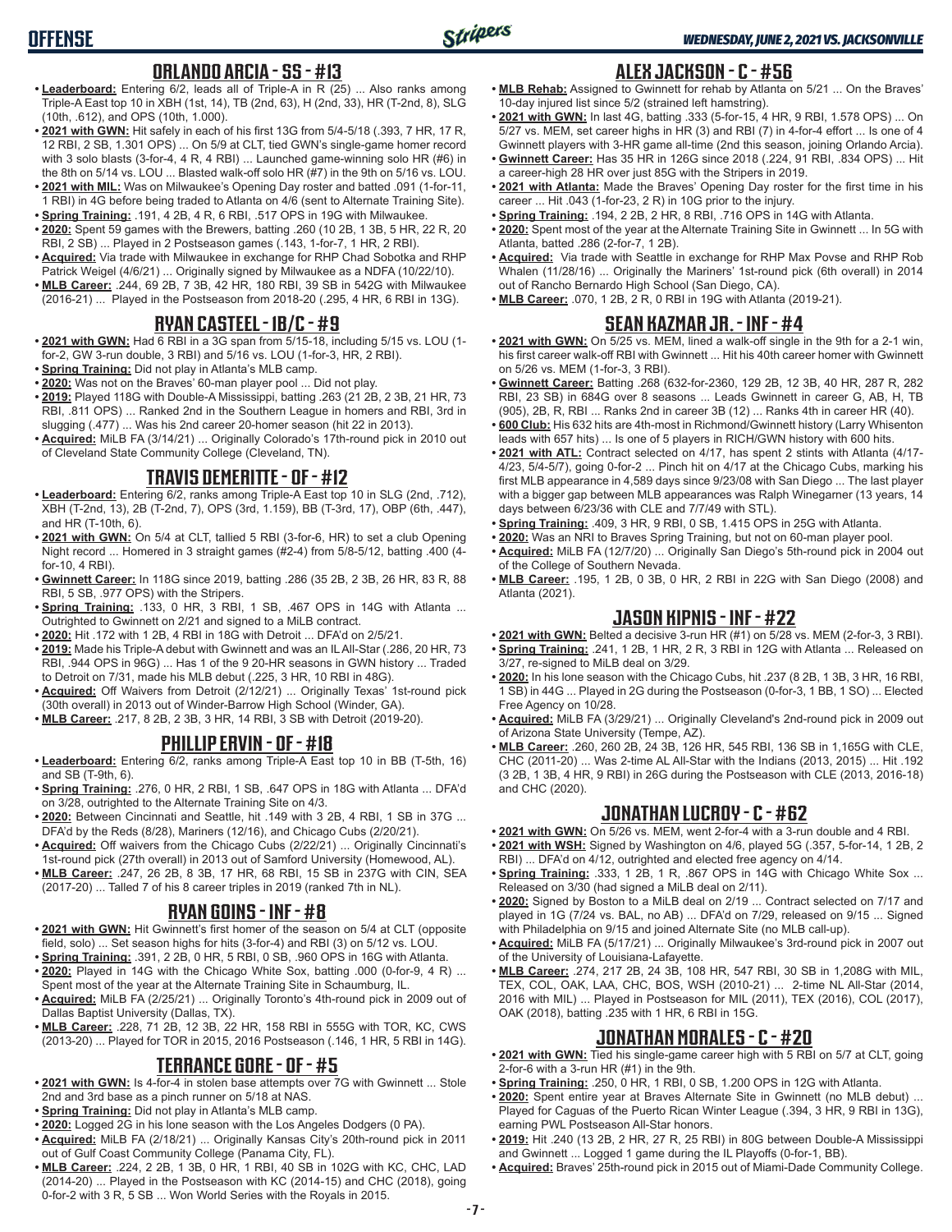# **OFFENSE**

## **ORLANDO ARCIA - SS - #13**

- **• Leaderboard:** Entering 6/2, leads all of Triple-A in R (25) ... Also ranks among Triple-A East top 10 in XBH (1st, 14), TB (2nd, 63), H (2nd, 33), HR (T-2nd, 8), SLG (10th, .612), and OPS (10th, 1.000).
- **• 2021 with GWN:** Hit safely in each of his first 13G from 5/4-5/18 (.393, 7 HR, 17 R, 12 RBI, 2 SB, 1.301 OPS) ... On 5/9 at CLT, tied GWN's single-game homer record with 3 solo blasts (3-for-4, 4 R, 4 RBI) ... Launched game-winning solo HR (#6) in the 8th on 5/14 vs. LOU ... Blasted walk-off solo HR (#7) in the 9th on 5/16 vs. LOU.
- **• 2021 with MIL:** Was on Milwaukee's Opening Day roster and batted .091 (1-for-11, 1 RBI) in 4G before being traded to Atlanta on 4/6 (sent to Alternate Training Site).
- **• Spring Training:** .191, 4 2B, 4 R, 6 RBI, .517 OPS in 19G with Milwaukee. **• 2020:** Spent 59 games with the Brewers, batting .260 (10 2B, 1 3B, 5 HR, 22 R, 20 RBI, 2 SB) ... Played in 2 Postseason games (.143, 1-for-7, 1 HR, 2 RBI).
- **• Acquired:** Via trade with Milwaukee in exchange for RHP Chad Sobotka and RHP Patrick Weigel (4/6/21) ... Originally signed by Milwaukee as a NDFA (10/22/10).
- **• MLB Career:** .244, 69 2B, 7 3B, 42 HR, 180 RBI, 39 SB in 542G with Milwaukee (2016-21) ... Played in the Postseason from 2018-20 (.295, 4 HR, 6 RBI in 13G).

## **RYAN CASTEEL - 1B/C - #9**

- **• 2021 with GWN:** Had 6 RBI in a 3G span from 5/15-18, including 5/15 vs. LOU (1 for-2, GW 3-run double, 3 RBI) and 5/16 vs. LOU (1-for-3, HR, 2 RBI).
- **• Spring Training:** Did not play in Atlanta's MLB camp.
- **• 2020:** Was not on the Braves' 60-man player pool ... Did not play.
- **• 2019:** Played 118G with Double-A Mississippi, batting .263 (21 2B, 2 3B, 21 HR, 73 RBI, .811 OPS) ... Ranked 2nd in the Southern League in homers and RBI, 3rd in slugging (.477) ... Was his 2nd career 20-homer season (hit 22 in 2013).
- **• Acquired:** MiLB FA (3/14/21) ... Originally Colorado's 17th-round pick in 2010 out of Cleveland State Community College (Cleveland, TN).

## **TRAVIS DEMERITTE - OF - #12**

- **• Leaderboard:** Entering 6/2, ranks among Triple-A East top 10 in SLG (2nd, .712), XBH (T-2nd, 13), 2B (T-2nd, 7), OPS (3rd, 1.159), BB (T-3rd, 17), OBP (6th, .447), and HR (T-10th, 6).
- **• 2021 with GWN:** On 5/4 at CLT, tallied 5 RBI (3-for-6, HR) to set a club Opening Night record ... Homered in 3 straight games (#2-4) from 5/8-5/12, batting .400 (4 for-10, 4 RBI).
- **• Gwinnett Career:** In 118G since 2019, batting .286 (35 2B, 2 3B, 26 HR, 83 R, 88 RBI, 5 SB, .977 OPS) with the Stripers.
- **• Spring Training:** .133, 0 HR, 3 RBI, 1 SB, .467 OPS in 14G with Atlanta ... Outrighted to Gwinnett on 2/21 and signed to a MiLB contract.
- **• 2020:** Hit .172 with 1 2B, 4 RBI in 18G with Detroit ... DFA'd on 2/5/21.
- **• 2019:** Made his Triple-A debut with Gwinnett and was an IL All-Star (.286, 20 HR, 73 RBI, .944 OPS in 96G) ... Has 1 of the 9 20-HR seasons in GWN history ... Traded to Detroit on 7/31, made his MLB debut (.225, 3 HR, 10 RBI in 48G).
- **• Acquired:** Off Waivers from Detroit (2/12/21) ... Originally Texas' 1st-round pick (30th overall) in 2013 out of Winder-Barrow High School (Winder, GA).
- **• MLB Career:** .217, 8 2B, 2 3B, 3 HR, 14 RBI, 3 SB with Detroit (2019-20).

#### **PHILLIP ERVIN - OF - #18**

- **• Leaderboard:** Entering 6/2, ranks among Triple-A East top 10 in BB (T-5th, 16) and SB (T-9th, 6).
- **• Spring Training:** .276, 0 HR, 2 RBI, 1 SB, .647 OPS in 18G with Atlanta ... DFA'd on 3/28, outrighted to the Alternate Training Site on 4/3.
- **• 2020:** Between Cincinnati and Seattle, hit .149 with 3 2B, 4 RBI, 1 SB in 37G ... DFA'd by the Reds (8/28), Mariners (12/16), and Chicago Cubs (2/20/21).
- **• Acquired:** Off waivers from the Chicago Cubs (2/22/21) ... Originally Cincinnati's 1st-round pick (27th overall) in 2013 out of Samford University (Homewood, AL).
- **• MLB Career:** .247, 26 2B, 8 3B, 17 HR, 68 RBI, 15 SB in 237G with CIN, SEA (2017-20) ... Talled 7 of his 8 career triples in 2019 (ranked 7th in NL).

## **RYAN GOINS - INF - #8**

- **• 2021 with GWN:** Hit Gwinnett's first homer of the season on 5/4 at CLT (opposite field, solo) ... Set season highs for hits (3-for-4) and RBI (3) on 5/12 vs. LOU.
- **• Spring Training:** .391, 2 2B, 0 HR, 5 RBI, 0 SB, .960 OPS in 16G with Atlanta.
- **• 2020:** Played in 14G with the Chicago White Sox, batting .000 (0-for-9, 4 R) ... Spent most of the year at the Alternate Training Site in Schaumburg, IL.
- **• Acquired:** MiLB FA (2/25/21) ... Originally Toronto's 4th-round pick in 2009 out of Dallas Baptist University (Dallas, TX).
- **• MLB Career:** .228, 71 2B, 12 3B, 22 HR, 158 RBI in 555G with TOR, KC, CWS (2013-20) ... Played for TOR in 2015, 2016 Postseason (.146, 1 HR, 5 RBI in 14G).

## **TERRANCE GORE - OF - #5**

- **• 2021 with GWN:** Is 4-for-4 in stolen base attempts over 7G with Gwinnett ... Stole 2nd and 3rd base as a pinch runner on 5/18 at NAS.
- **• Spring Training:** Did not play in Atlanta's MLB camp.
- **• 2020:** Logged 2G in his lone season with the Los Angeles Dodgers (0 PA).
- **• Acquired:** MiLB FA (2/18/21) ... Originally Kansas City's 20th-round pick in 2011 out of Gulf Coast Community College (Panama City, FL).
- **• MLB Career:** .224, 2 2B, 1 3B, 0 HR, 1 RBI, 40 SB in 102G with KC, CHC, LAD (2014-20) ... Played in the Postseason with KC (2014-15) and CHC (2018), going 0-for-2 with 3 R, 5 SB ... Won World Series with the Royals in 2015.

## **ALEX JACKSON - C - #56**

- **• MLB Rehab:** Assigned to Gwinnett for rehab by Atlanta on 5/21 ... On the Braves' 10-day injured list since 5/2 (strained left hamstring).
- **• 2021 with GWN:** In last 4G, batting .333 (5-for-15, 4 HR, 9 RBI, 1.578 OPS) ... On 5/27 vs. MEM, set career highs in HR (3) and RBI (7) in 4-for-4 effort ... Is one of 4 Gwinnett players with 3-HR game all-time (2nd this season, joining Orlando Arcia).
- **• Gwinnett Career:** Has 35 HR in 126G since 2018 (.224, 91 RBI, .834 OPS) ... Hit a career-high 28 HR over just 85G with the Stripers in 2019.
- **• 2021 with Atlanta:** Made the Braves' Opening Day roster for the first time in his career ... Hit .043 (1-for-23, 2 R) in 10G prior to the injury.
- **• Spring Training:** .194, 2 2B, 2 HR, 8 RBI, .716 OPS in 14G with Atlanta.
- **• 2020:** Spent most of the year at the Alternate Training Site in Gwinnett ... In 5G with Atlanta, batted .286 (2-for-7, 1 2B).
- **• Acquired:** Via trade with Seattle in exchange for RHP Max Povse and RHP Rob Whalen (11/28/16) ... Originally the Mariners' 1st-round pick (6th overall) in 2014 out of Rancho Bernardo High School (San Diego, CA).
- **• MLB Career:** .070, 1 2B, 2 R, 0 RBI in 19G with Atlanta (2019-21).

# **SEAN KAZMAR JR. - INF - #4**

- **• 2021 with GWN:** On 5/25 vs. MEM, lined a walk-off single in the 9th for a 2-1 win, his first career walk-off RBI with Gwinnett ... Hit his 40th career homer with Gwinnett on 5/26 vs. MEM (1-for-3, 3 RBI).
- **• Gwinnett Career:** Batting .268 (632-for-2360, 129 2B, 12 3B, 40 HR, 287 R, 282 RBI, 23 SB) in 684G over 8 seasons ... Leads Gwinnett in career G, AB, H, TB (905), 2B, R, RBI ... Ranks 2nd in career 3B (12) ... Ranks 4th in career HR (40).
- **• 600 Club:** His 632 hits are 4th-most in Richmond/Gwinnett history (Larry Whisenton leads with 657 hits) ... Is one of 5 players in RICH/GWN history with 600 hits.
- **• 2021 with ATL:** Contract selected on 4/17, has spent 2 stints with Atlanta (4/17- 4/23, 5/4-5/7), going 0-for-2 ... Pinch hit on 4/17 at the Chicago Cubs, marking his first MLB appearance in 4,589 days since 9/23/08 with San Diego ... The last player with a bigger gap between MLB appearances was Ralph Winegarner (13 years, 14 days between 6/23/36 with CLE and 7/7/49 with STL).
- **• Spring Training:** .409, 3 HR, 9 RBI, 0 SB, 1.415 OPS in 25G with Atlanta.
- **• 2020:** Was an NRI to Braves Spring Training, but not on 60-man player pool.
- **• Acquired:** MiLB FA (12/7/20) ... Originally San Diego's 5th-round pick in 2004 out of the College of Southern Nevada.
- **• MLB Career:** .195, 1 2B, 0 3B, 0 HR, 2 RBI in 22G with San Diego (2008) and Atlanta (2021).

## **JASON KIPNIS - INF - #22**

- **• 2021 with GWN:** Belted a decisive 3-run HR (#1) on 5/28 vs. MEM (2-for-3, 3 RBI). **• Spring Training:** .241, 1 2B, 1 HR, 2 R, 3 RBI in 12G with Atlanta ... Released on 3/27, re-signed to MiLB deal on 3/29.
- **• 2020:** In his lone season with the Chicago Cubs, hit .237 (8 2B, 1 3B, 3 HR, 16 RBI, 1 SB) in 44G ... Played in 2G during the Postseason (0-for-3, 1 BB, 1 SO) ... Elected Free Agency on 10/28.
- **• Acquired:** MiLB FA (3/29/21) ... Originally Cleveland's 2nd-round pick in 2009 out of Arizona State University (Tempe, AZ).
- **• MLB Career:** .260, 260 2B, 24 3B, 126 HR, 545 RBI, 136 SB in 1,165G with CLE, CHC (2011-20) ... Was 2-time AL All-Star with the Indians (2013, 2015) ... Hit .192 (3 2B, 1 3B, 4 HR, 9 RBI) in 26G during the Postseason with CLE (2013, 2016-18) and CHC (2020).

## **JONATHAN LUCROY - C - #62**

- **• 2021 with GWN:** On 5/26 vs. MEM, went 2-for-4 with a 3-run double and 4 RBI. **• 2021 with WSH:** Signed by Washington on 4/6, played 5G (.357, 5-for-14, 1 2B, 2
- RBI) ... DFA'd on 4/12, outrighted and elected free agency on 4/14. **• Spring Training:** .333, 1 2B, 1 R, .867 OPS in 14G with Chicago White Sox ... Released on 3/30 (had signed a MiLB deal on 2/11).
- **• 2020:** Signed by Boston to a MiLB deal on 2/19 ... Contract selected on 7/17 and played in 1G (7/24 vs. BAL, no AB) ... DFA'd on 7/29, released on 9/15 ... Signed with Philadelphia on 9/15 and joined Alternate Site (no MLB call-up).
- **• Acquired:** MiLB FA (5/17/21) ... Originally Milwaukee's 3rd-round pick in 2007 out of the University of Louisiana-Lafayette.
- **• MLB Career:** .274, 217 2B, 24 3B, 108 HR, 547 RBI, 30 SB in 1,208G with MIL, TEX, COL, OAK, LAA, CHC, BOS, WSH (2010-21) ... 2-time NL All-Star (2014, 2016 with MIL) ... Played in Postseason for MIL (2011), TEX (2016), COL (2017), OAK (2018), batting .235 with 1 HR, 6 RBI in 15G.

## **JONATHAN MORALES - C - #20**

- **• 2021 with GWN:** Tied his single-game career high with 5 RBI on 5/7 at CLT, going 2-for-6 with a 3-run HR (#1) in the 9th.
- **• Spring Training:** .250, 0 HR, 1 RBI, 0 SB, 1.200 OPS in 12G with Atlanta.
- **• 2020:** Spent entire year at Braves Alternate Site in Gwinnett (no MLB debut) ... Played for Caguas of the Puerto Rican Winter League (.394, 3 HR, 9 RBI in 13G), earning PWL Postseason All-Star honors.
- **• 2019:** Hit .240 (13 2B, 2 HR, 27 R, 25 RBI) in 80G between Double-A Mississippi and Gwinnett ... Logged 1 game during the IL Playoffs (0-for-1, BB).
- **• Acquired:** Braves' 25th-round pick in 2015 out of Miami-Dade Community College.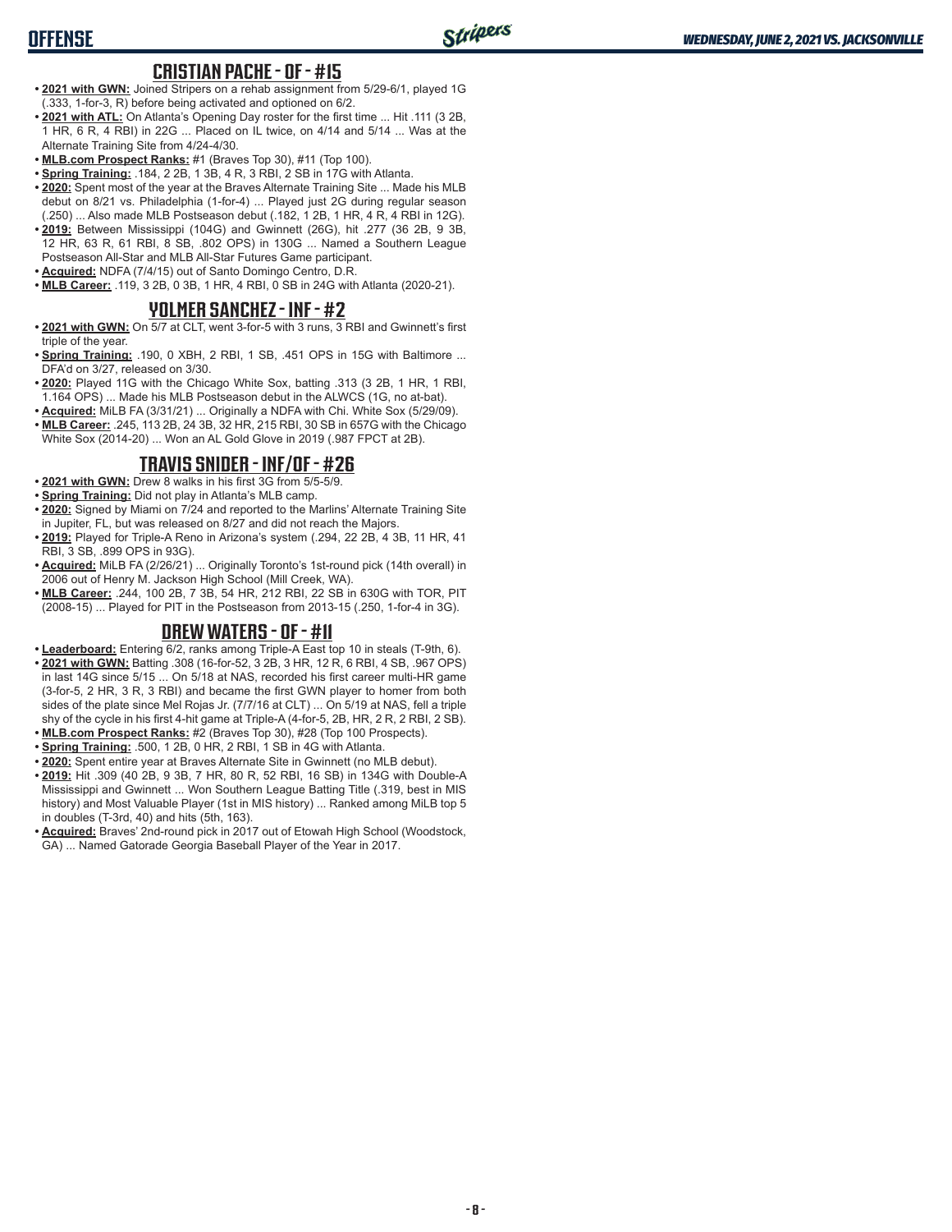# **OFFENSE**

## **CRISTIAN PACHE - OF - #15**

- **• 2021 with GWN:** Joined Stripers on a rehab assignment from 5/29-6/1, played 1G (.333, 1-for-3, R) before being activated and optioned on 6/2.
- **• 2021 with ATL:** On Atlanta's Opening Day roster for the first time ... Hit .111 (3 2B, 1 HR, 6 R, 4 RBI) in 22G ... Placed on IL twice, on 4/14 and 5/14 ... Was at the Alternate Training Site from 4/24-4/30.
- **• MLB.com Prospect Ranks:** #1 (Braves Top 30), #11 (Top 100).
- **• Spring Training:** .184, 2 2B, 1 3B, 4 R, 3 RBI, 2 SB in 17G with Atlanta.
- **• 2020:** Spent most of the year at the Braves Alternate Training Site ... Made his MLB debut on 8/21 vs. Philadelphia (1-for-4) ... Played just 2G during regular season (.250) ... Also made MLB Postseason debut (.182, 1 2B, 1 HR, 4 R, 4 RBI in 12G).
- **• 2019:** Between Mississippi (104G) and Gwinnett (26G), hit .277 (36 2B, 9 3B, 12 HR, 63 R, 61 RBI, 8 SB, .802 OPS) in 130G ... Named a Southern League Postseason All-Star and MLB All-Star Futures Game participant.
- **• Acquired:** NDFA (7/4/15) out of Santo Domingo Centro, D.R.
- **• MLB Career:** .119, 3 2B, 0 3B, 1 HR, 4 RBI, 0 SB in 24G with Atlanta (2020-21).

### **YOLMER SANCHEZ - INF - #2**

- **• 2021 with GWN:** On 5/7 at CLT, went 3-for-5 with 3 runs, 3 RBI and Gwinnett's first triple of the year.
- **• Spring Training:** .190, 0 XBH, 2 RBI, 1 SB, .451 OPS in 15G with Baltimore ... DFA'd on 3/27, released on 3/30.
- **• 2020:** Played 11G with the Chicago White Sox, batting .313 (3 2B, 1 HR, 1 RBI, 1.164 OPS) ... Made his MLB Postseason debut in the ALWCS (1G, no at-bat).
- **• Acquired:** MiLB FA (3/31/21) ... Originally a NDFA with Chi. White Sox (5/29/09).
- **• MLB Career:** .245, 113 2B, 24 3B, 32 HR, 215 RBI, 30 SB in 657G with the Chicago White Sox (2014-20) ... Won an AL Gold Glove in 2019 (.987 FPCT at 2B).

## **TRAVIS SNIDER - INF/OF - #26**

- **• 2021 with GWN:** Drew 8 walks in his first 3G from 5/5-5/9.
- **• Spring Training:** Did not play in Atlanta's MLB camp.
- **• 2020:** Signed by Miami on 7/24 and reported to the Marlins' Alternate Training Site in Jupiter, FL, but was released on 8/27 and did not reach the Majors.
- **• 2019:** Played for Triple-A Reno in Arizona's system (.294, 22 2B, 4 3B, 11 HR, 41 RBI, 3 SB, .899 OPS in 93G).
- **• Acquired:** MiLB FA (2/26/21) ... Originally Toronto's 1st-round pick (14th overall) in 2006 out of Henry M. Jackson High School (Mill Creek, WA).
- **• MLB Career:** .244, 100 2B, 7 3B, 54 HR, 212 RBI, 22 SB in 630G with TOR, PIT (2008-15) ... Played for PIT in the Postseason from 2013-15 (.250, 1-for-4 in 3G).

## **DREW WATERS - OF - #11**

- **• Leaderboard:** Entering 6/2, ranks among Triple-A East top 10 in steals (T-9th, 6).
- **2021 with GWN:** Batting .308 (16-for-52, 3 2B, 3 HR, 12 R, 6 RBI, 4 SB, .967 OPS) in last 14G since 5/15 ... On 5/18 at NAS, recorded his first career multi-HR game (3-for-5, 2 HR, 3 R, 3 RBI) and became the first GWN player to homer from both sides of the plate since Mel Rojas Jr. (7/7/16 at CLT) ... On 5/19 at NAS, fell a triple shy of the cycle in his first 4-hit game at Triple-A (4-for-5, 2B, HR, 2 R, 2 RBI, 2 SB).
- **• MLB.com Prospect Ranks:** #2 (Braves Top 30), #28 (Top 100 Prospects). **• Spring Training:** .500, 1 2B, 0 HR, 2 RBI, 1 SB in 4G with Atlanta.
- **• 2020:** Spent entire year at Braves Alternate Site in Gwinnett (no MLB debut).
- **• 2019:** Hit .309 (40 2B, 9 3B, 7 HR, 80 R, 52 RBI, 16 SB) in 134G with Double-A Mississippi and Gwinnett ... Won Southern League Batting Title (.319, best in MIS history) and Most Valuable Player (1st in MIS history) ... Ranked among MiLB top 5 in doubles (T-3rd, 40) and hits (5th, 163).
- **• Acquired:** Braves' 2nd-round pick in 2017 out of Etowah High School (Woodstock, GA) ... Named Gatorade Georgia Baseball Player of the Year in 2017.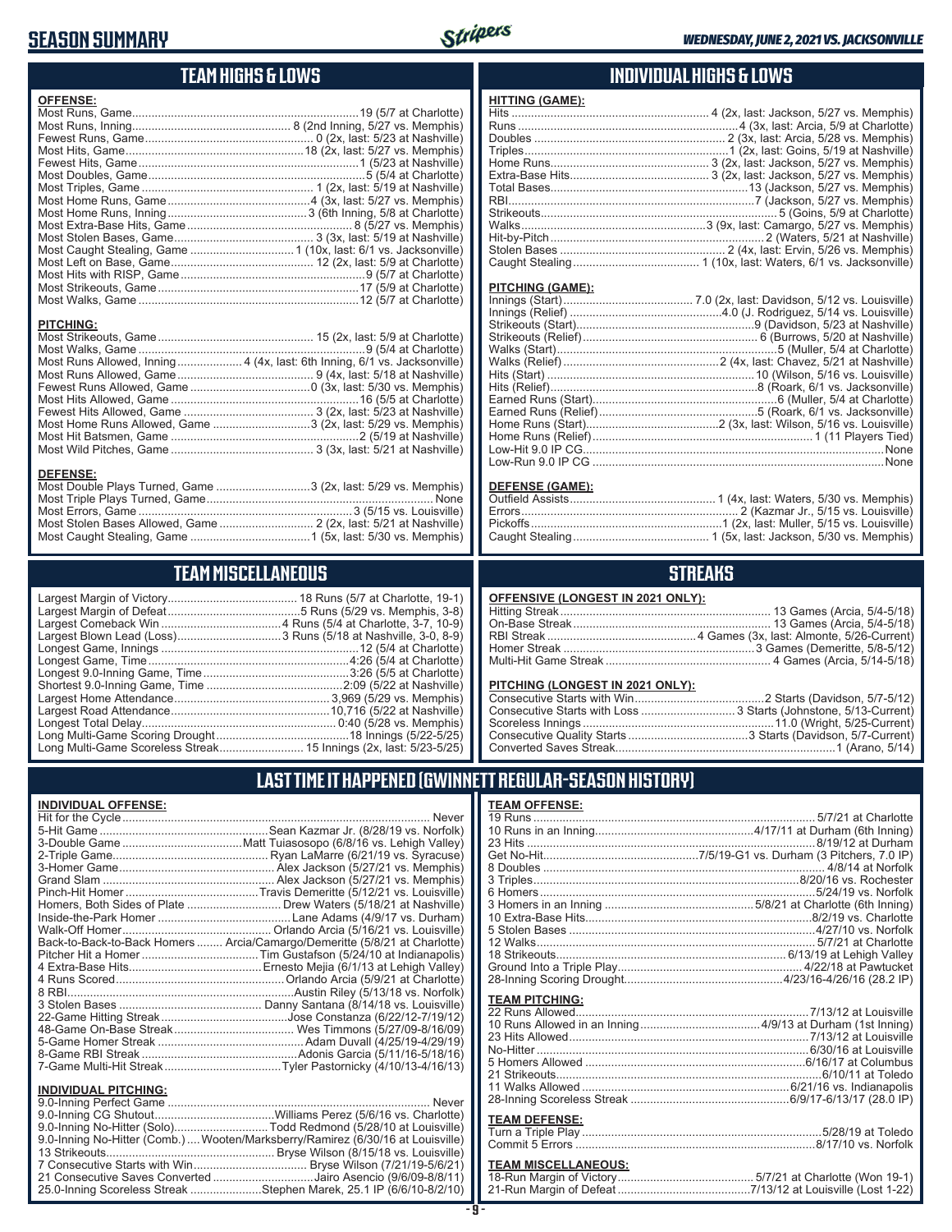# **SEASON SUMMARY**



## **TEAM HIGHS & LOWS**

| <b>OFFENSE:</b>  |                                                                          |
|------------------|--------------------------------------------------------------------------|
|                  |                                                                          |
|                  |                                                                          |
|                  |                                                                          |
|                  |                                                                          |
|                  |                                                                          |
|                  |                                                                          |
|                  |                                                                          |
|                  |                                                                          |
|                  |                                                                          |
|                  |                                                                          |
|                  |                                                                          |
|                  |                                                                          |
|                  |                                                                          |
|                  |                                                                          |
|                  |                                                                          |
|                  |                                                                          |
|                  |                                                                          |
| <b>PITCHING:</b> |                                                                          |
|                  |                                                                          |
|                  |                                                                          |
|                  | Most Runs Allowed, Inning 4 (4x, last: 6th Inning, 6/1 vs. Jacksonville) |
|                  |                                                                          |
|                  |                                                                          |
|                  |                                                                          |
|                  |                                                                          |

# Most Home Runs Allowed, Game ..............................3 (2x, last: 5/29 vs. Memphis)

Most Hit Batsmen, Game ..........................................................2 (5/19 at Nashville)

#### Most Wild Pitches, Game ............................................ 3 (3x, last: 5/21 at Nashville) **<u>DEFENSE:</u>**<br>Most Double Plays Turned, Game .............................3 (2x, last: 5/29 vs. Memphis) Most Triple Plays Turned, Game ...................................................................... None Most Errors, Game ..................................................................3 (5/15 vs. Louisville) Most Stolen Bases Allowed, Game ............................. 2 (2x, last: 5/21 at Nashville)

# **TEAM MISCELLANEOUS**

Most Caught Stealing, Game .....................................1 (5x, last: 5/30 vs. Memphis)

## **INDIVIDUAL HIGHS & LOWS**

| <b>HITTING (GAME):</b> |  |
|------------------------|--|
|                        |  |
|                        |  |
|                        |  |
|                        |  |
|                        |  |
|                        |  |
|                        |  |
|                        |  |
|                        |  |
|                        |  |
|                        |  |
|                        |  |
|                        |  |
|                        |  |

#### **PITCHING (GAME):**

#### **DEFENSE (GAME):**

## **STREAKS**

#### **OFFENSIVE (LONGEST IN 2021 ONLY):**

#### **PITCHING (LONGEST IN 2021 ONLY):**

# **LAST TIME IT HAPPENED (GWINNETT REGULAR-SEASON HISTORY)**

#### **INDIVIDUAL OFFENSE:**

|                             | Back-to-Back-to-Back Homers  Arcia/Camargo/Demeritte (5/8/21 at Charlotte) |
|-----------------------------|----------------------------------------------------------------------------|
|                             |                                                                            |
|                             |                                                                            |
|                             |                                                                            |
|                             |                                                                            |
|                             |                                                                            |
|                             |                                                                            |
|                             |                                                                            |
|                             |                                                                            |
|                             |                                                                            |
|                             |                                                                            |
|                             |                                                                            |
| <b>INDIVIDUAL PITCHING:</b> |                                                                            |
|                             |                                                                            |

| 9.0-Inning No-Hitter (Solo)Todd Redmond (5/28/10 at Louisville)                 |  |
|---------------------------------------------------------------------------------|--|
| 9.0-Inning No-Hitter (Comb.)  Wooten/Marksberry/Ramirez (6/30/16 at Louisville) |  |
|                                                                                 |  |
|                                                                                 |  |
| 21 Consecutive Saves Converted Jairo Asencio (9/6/09-8/8/11)                    |  |
| 25.0-Inning Scoreless Streak Stephen Marek, 25.1 IP (6/6/10-8/2/10)             |  |
|                                                                                 |  |

| TEA <u>M OFFENSE:</u> |                                                               |
|-----------------------|---------------------------------------------------------------|
|                       |                                                               |
|                       |                                                               |
|                       |                                                               |
|                       |                                                               |
|                       |                                                               |
|                       |                                                               |
|                       | 6 Homers……………………………………………………………………5/24/19 vs. Norfolk         |
|                       |                                                               |
|                       |                                                               |
|                       |                                                               |
|                       |                                                               |
|                       |                                                               |
|                       |                                                               |
|                       |                                                               |
| <b>TEAM PITCHING:</b> |                                                               |
|                       |                                                               |
|                       |                                                               |
|                       | 23 Hits Allowed………………………………………………………………7/13/12 at Louisville  |
|                       |                                                               |
|                       | 5 Homers Allowed …………………………………………………………………6/16/17 at Columbus |
|                       |                                                               |
|                       |                                                               |
|                       |                                                               |
| <b>TEAM DEFENSE:</b>  |                                                               |
| Turn o Trinlo Dlou    | $E/20/40 \text{ at } T$                                       |

#### Turn a Triple Play ..........................................................................5/28/19 at Toledo Commit 5 Errors ..........................................................................8/17/10 vs. Norfolk **TEAM MISCELLANEOUS:**

| <u> I EAM MISCELLANEOUS:</u> |                                                                       |
|------------------------------|-----------------------------------------------------------------------|
|                              |                                                                       |
|                              | 21-Run Margin of Defeat…………………………………7/13/12 at Louisville (Lost 1-22) |